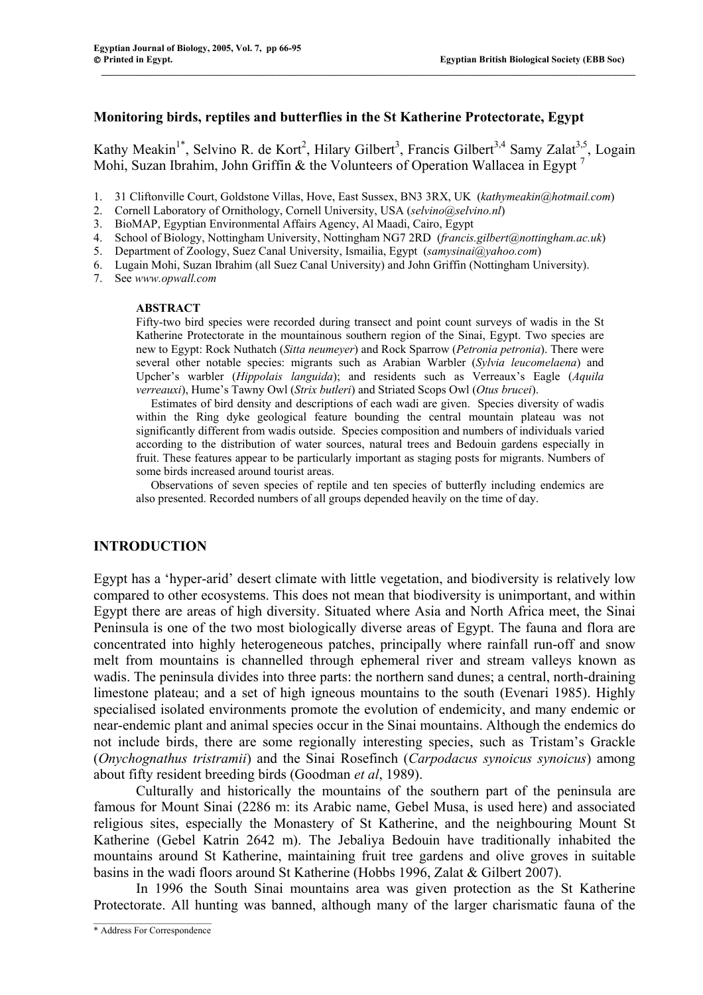#### **Monitoring birds, reptiles and butterflies in the St Katherine Protectorate, Egypt**

Kathy Meakin<sup>1\*</sup>, Selvino R. de Kort<sup>2</sup>, Hilary Gilbert<sup>3</sup>, Francis Gilbert<sup>3,4</sup> Samy Zalat<sup>3,5</sup>, Logain Mohi, Suzan Ibrahim, John Griffin & the Volunteers of Operation Wallacea in Egypt<sup>7</sup>

 $\mathcal{L} = \{ \mathcal{L} = \{ \mathcal{L} = \{ \mathcal{L} = \{ \mathcal{L} = \{ \mathcal{L} = \{ \mathcal{L} = \{ \mathcal{L} = \{ \mathcal{L} = \{ \mathcal{L} = \{ \mathcal{L} = \{ \mathcal{L} = \{ \mathcal{L} = \{ \mathcal{L} = \{ \mathcal{L} = \{ \mathcal{L} = \{ \mathcal{L} = \{ \mathcal{L} = \{ \mathcal{L} = \{ \mathcal{L} = \{ \mathcal{L} = \{ \mathcal{L} = \{ \mathcal{L} = \{ \mathcal{L} = \{ \mathcal{$ 

- 1. 31 Cliftonville Court, Goldstone Villas, Hove, East Sussex, BN3 3RX, UK (*kathymeakin@hotmail.com*)
- 2. Cornell Laboratory of Ornithology, Cornell University, USA (*selvino@selvino.nl*)
- 3. BioMAP, Egyptian Environmental Affairs Agency, Al Maadi, Cairo, Egypt
- 4. School of Biology, Nottingham University, Nottingham NG7 2RD (*francis.gilbert@nottingham.ac.uk*)
- 5. Department of Zoology, Suez Canal University, Ismailia, Egypt (*samysinai@yahoo.com*)
- 6. Lugain Mohi, Suzan Ibrahim (all Suez Canal University) and John Griffin (Nottingham University).
- 7. See *www.opwall.com*

#### **ABSTRACT**

Fifty-two bird species were recorded during transect and point count surveys of wadis in the St Katherine Protectorate in the mountainous southern region of the Sinai, Egypt. Two species are new to Egypt: Rock Nuthatch (*Sitta neumeyer*) and Rock Sparrow (*Petronia petronia*). There were several other notable species: migrants such as Arabian Warbler (*Sylvia leucomelaena*) and Upcher's warbler (*Hippolais languida*); and residents such as Verreaux's Eagle (*Aquila verreauxi*), Hume's Tawny Owl (*Strix butleri*) and Striated Scops Owl (*Otus brucei*).

 Estimates of bird density and descriptions of each wadi are given. Species diversity of wadis within the Ring dyke geological feature bounding the central mountain plateau was not significantly different from wadis outside. Species composition and numbers of individuals varied according to the distribution of water sources, natural trees and Bedouin gardens especially in fruit. These features appear to be particularly important as staging posts for migrants. Numbers of some birds increased around tourist areas.

 Observations of seven species of reptile and ten species of butterfly including endemics are also presented. Recorded numbers of all groups depended heavily on the time of day.

#### **INTRODUCTION**

Egypt has a 'hyper-arid' desert climate with little vegetation, and biodiversity is relatively low compared to other ecosystems. This does not mean that biodiversity is unimportant, and within Egypt there are areas of high diversity. Situated where Asia and North Africa meet, the Sinai Peninsula is one of the two most biologically diverse areas of Egypt. The fauna and flora are concentrated into highly heterogeneous patches, principally where rainfall run-off and snow melt from mountains is channelled through ephemeral river and stream valleys known as wadis. The peninsula divides into three parts: the northern sand dunes; a central, north-draining limestone plateau; and a set of high igneous mountains to the south (Evenari 1985). Highly specialised isolated environments promote the evolution of endemicity, and many endemic or near-endemic plant and animal species occur in the Sinai mountains. Although the endemics do not include birds, there are some regionally interesting species, such as Tristam's Grackle (*Onychognathus tristramii*) and the Sinai Rosefinch (*Carpodacus synoicus synoicus*) among about fifty resident breeding birds (Goodman *et al*, 1989).

Culturally and historically the mountains of the southern part of the peninsula are famous for Mount Sinai (2286 m: its Arabic name, Gebel Musa, is used here) and associated religious sites, especially the Monastery of St Katherine, and the neighbouring Mount St Katherine (Gebel Katrin 2642 m). The Jebaliya Bedouin have traditionally inhabited the mountains around St Katherine, maintaining fruit tree gardens and olive groves in suitable basins in the wadi floors around St Katherine (Hobbs 1996, Zalat & Gilbert 2007).

In 1996 the South Sinai mountains area was given protection as the St Katherine Protectorate. All hunting was banned, although many of the larger charismatic fauna of the

 $\mathcal{L}_\text{max}$ \* Address For Correspondence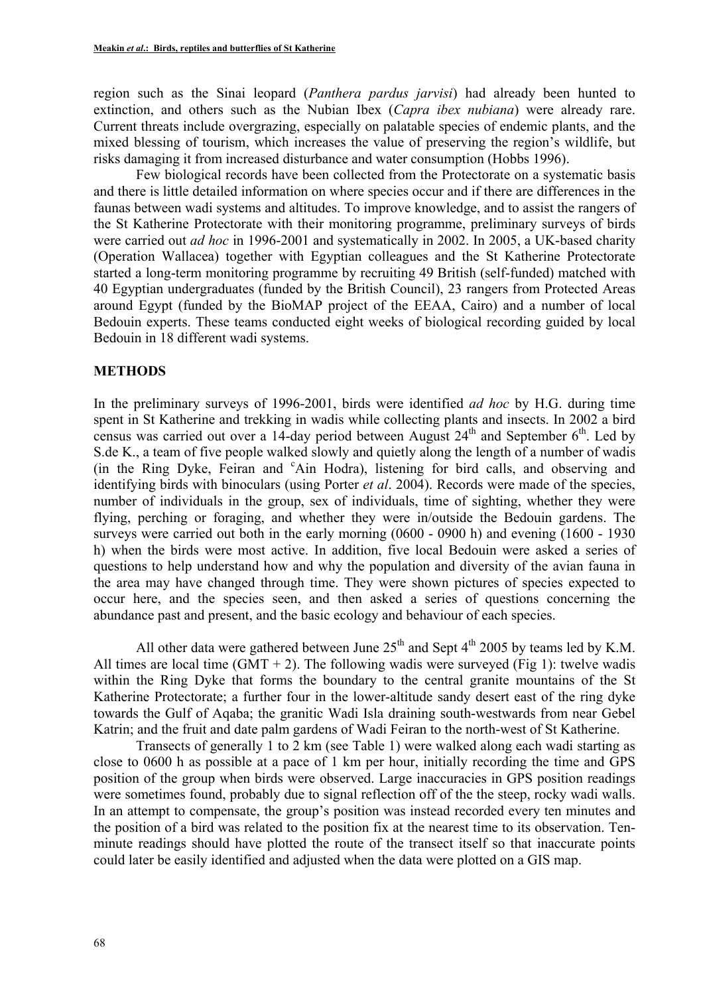region such as the Sinai leopard (*Panthera pardus jarvisi*) had already been hunted to extinction, and others such as the Nubian Ibex (*Capra ibex nubiana*) were already rare. Current threats include overgrazing, especially on palatable species of endemic plants, and the mixed blessing of tourism, which increases the value of preserving the region's wildlife, but risks damaging it from increased disturbance and water consumption (Hobbs 1996).

Few biological records have been collected from the Protectorate on a systematic basis and there is little detailed information on where species occur and if there are differences in the faunas between wadi systems and altitudes. To improve knowledge, and to assist the rangers of the St Katherine Protectorate with their monitoring programme, preliminary surveys of birds were carried out *ad hoc* in 1996-2001 and systematically in 2002. In 2005, a UK-based charity (Operation Wallacea) together with Egyptian colleagues and the St Katherine Protectorate started a long-term monitoring programme by recruiting 49 British (self-funded) matched with 40 Egyptian undergraduates (funded by the British Council), 23 rangers from Protected Areas around Egypt (funded by the BioMAP project of the EEAA, Cairo) and a number of local Bedouin experts. These teams conducted eight weeks of biological recording guided by local Bedouin in 18 different wadi systems.

## **METHODS**

In the preliminary surveys of 1996-2001, birds were identified *ad hoc* by H.G. during time spent in St Katherine and trekking in wadis while collecting plants and insects. In 2002 a bird census was carried out over a 14-day period between August 24<sup>th</sup> and September 6<sup>th</sup>. Led by S.de K., a team of five people walked slowly and quietly along the length of a number of wadis (in the Ring Dyke, Feiran and 'Ain Hodra), listening for bird calls, and observing and identifying birds with binoculars (using Porter *et al*. 2004). Records were made of the species, number of individuals in the group, sex of individuals, time of sighting, whether they were flying, perching or foraging, and whether they were in/outside the Bedouin gardens. The surveys were carried out both in the early morning (0600 - 0900 h) and evening (1600 - 1930 h) when the birds were most active. In addition, five local Bedouin were asked a series of questions to help understand how and why the population and diversity of the avian fauna in the area may have changed through time. They were shown pictures of species expected to occur here, and the species seen, and then asked a series of questions concerning the abundance past and present, and the basic ecology and behaviour of each species.

All other data were gathered between June  $25<sup>th</sup>$  and Sept  $4<sup>th</sup>$  2005 by teams led by K.M. All times are local time  $(GMT + 2)$ . The following wadis were surveyed (Fig 1): twelve wadis within the Ring Dyke that forms the boundary to the central granite mountains of the St Katherine Protectorate; a further four in the lower-altitude sandy desert east of the ring dyke towards the Gulf of Aqaba; the granitic Wadi Isla draining south-westwards from near Gebel Katrin; and the fruit and date palm gardens of Wadi Feiran to the north-west of St Katherine.

Transects of generally 1 to 2 km (see Table 1) were walked along each wadi starting as close to 0600 h as possible at a pace of 1 km per hour, initially recording the time and GPS position of the group when birds were observed. Large inaccuracies in GPS position readings were sometimes found, probably due to signal reflection off of the the steep, rocky wadi walls. In an attempt to compensate, the group's position was instead recorded every ten minutes and the position of a bird was related to the position fix at the nearest time to its observation. Tenminute readings should have plotted the route of the transect itself so that inaccurate points could later be easily identified and adjusted when the data were plotted on a GIS map.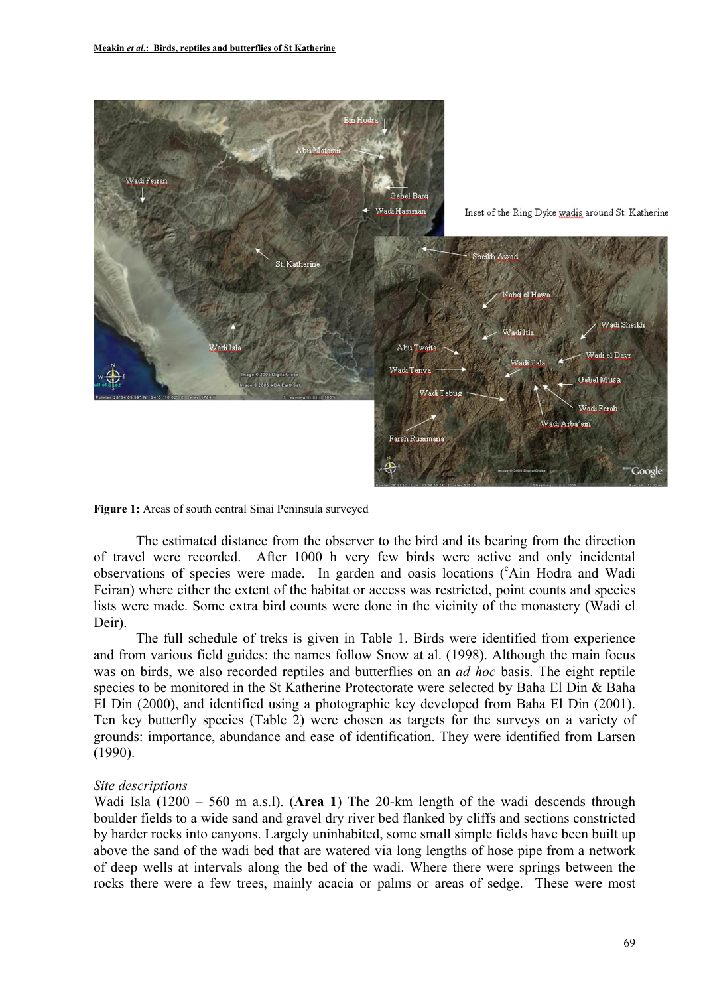



The estimated distance from the observer to the bird and its bearing from the direction of travel were recorded. After 1000 h very few birds were active and only incidental observations of species were made. In garden and oasis locations ('Ain Hodra and Wadi Feiran) where either the extent of the habitat or access was restricted, point counts and species lists were made. Some extra bird counts were done in the vicinity of the monastery (Wadi el Deir).

The full schedule of treks is given in Table 1. Birds were identified from experience and from various field guides: the names follow Snow at al. (1998). Although the main focus was on birds, we also recorded reptiles and butterflies on an *ad hoc* basis. The eight reptile species to be monitored in the St Katherine Protectorate were selected by Baha El Din & Baha El Din (2000), and identified using a photographic key developed from Baha El Din (2001). Ten key butterfly species (Table 2) were chosen as targets for the surveys on a variety of grounds: importance, abundance and ease of identification. They were identified from Larsen (1990).

#### *Site descriptions*

Wadi Isla (1200 – 560 m a.s.l). (**Area 1**) The 20-km length of the wadi descends through boulder fields to a wide sand and gravel dry river bed flanked by cliffs and sections constricted by harder rocks into canyons. Largely uninhabited, some small simple fields have been built up above the sand of the wadi bed that are watered via long lengths of hose pipe from a network of deep wells at intervals along the bed of the wadi. Where there were springs between the rocks there were a few trees, mainly acacia or palms or areas of sedge. These were most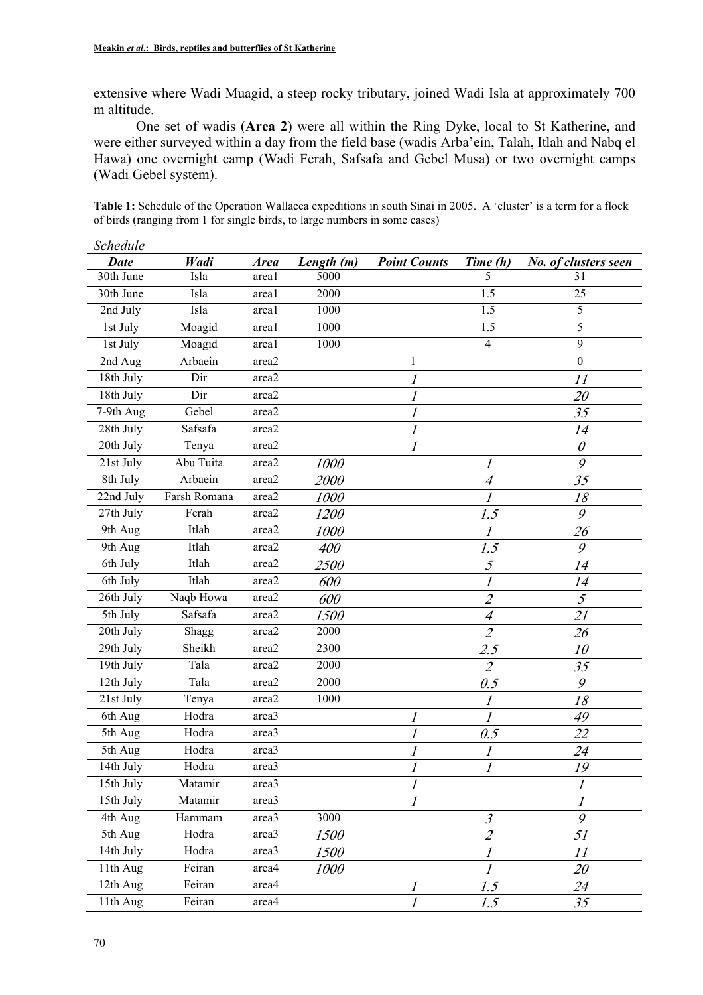extensive where Wadi Muagid, a steep rocky tributary, joined Wadi Isla at approximately 700 m altitude.

One set of wadis (**Area 2**) were all within the Ring Dyke, local to St Katherine, and were either surveyed within a day from the field base (wadis Arba'ein, Talah, Itlah and Nabq el Hawa) one overnight camp (Wadi Ferah, Safsafa and Gebel Musa) or two overnight camps (Wadi Gebel system).

**Table 1:** Schedule of the Operation Wallacea expeditions in south Sinai in 2005. A 'cluster' is a term for a flock of birds (ranging from 1 for single birds, to large numbers in some cases)

| Schedule    |              |             |             |                     |                             |                           |
|-------------|--------------|-------------|-------------|---------------------|-----------------------------|---------------------------|
| <b>Date</b> | Wadi         | <b>Area</b> | Length (m)  | <b>Point Counts</b> | Time (h)                    | No. of clusters seen      |
| 30th June   | Isla         | area1       | 5000        |                     | 5                           | 31                        |
| 30th June   | Isla         | area1       | 2000        |                     | 1.5                         | 25                        |
| 2nd July    | Isla         | area1       | 1000        |                     | 1.5                         | 5                         |
| 1st July    | Moagid       | area1       | 1000        |                     | $\overline{1.5}$            | 5                         |
| 1st July    | Moagid       | areal       | 1000        |                     | $\overline{4}$              | 9                         |
| 2nd Aug     | Arbaein      | area2       |             | $\mathbf{1}$        |                             | $\boldsymbol{0}$          |
| 18th July   | Dir          | area2       |             | 1                   |                             | 11                        |
| 18th July   | Dir          | area2       |             | 1                   |                             | 20                        |
| 7-9th Aug   | Gebel        | area2       |             | 1                   |                             | 35                        |
| 28th July   | Safsafa      | area2       |             | 1                   |                             | 14                        |
| 20th July   | Tenya        | area2       |             | 1                   |                             | $\theta$                  |
| 21st July   | Abu Tuita    | area2       | 1000        |                     | 1                           | $\mathcal{G}$             |
| 8th July    | Arbaein      | area2       | <i>2000</i> |                     | $\overline{4}$              | 35                        |
| 22nd July   | Farsh Romana | area2       | 1000        |                     | 1                           | 18                        |
| 27th July   | Ferah        | area2       | <i>1200</i> |                     | 1.5                         | 9                         |
| 9th Aug     | Itlah        | area2       | <i>1000</i> |                     | 1                           | 26                        |
| 9th Aug     | Itlah        | area2       | 400         |                     | 1.5                         | 9                         |
| 6th July    | Itlah        | area2       | <i>2500</i> |                     | $\mathcal{F}_{\mathcal{L}}$ | 14                        |
| 6th July    | Itlah        | area2       | 600         |                     | $\overline{l}$              | 14                        |
| 26th July   | Naqb Howa    | area2       | 600         |                     | $\overline{2}$              | 5                         |
| 5th July    | Safsafa      | area2       | 1500        |                     | $\overline{4}$              | 21                        |
| 20th July   | Shagg        | area2       | 2000        |                     | $\overline{2}$              | 26                        |
| 29th July   | Sheikh       | area2       | 2300        |                     | 2.5                         | 10                        |
| 19th July   | Tala         | area2       | 2000        |                     | $\overline{2}$              | 35                        |
| 12th July   | Tala         | area2       | 2000        |                     | 0.5                         | 9                         |
| 21st July   | Tenya        | area2       | 1000        |                     | 1                           | 18                        |
| 6th Aug     | Hodra        | area3       |             | 1                   | 1                           | 49                        |
| 5th Aug     | Hodra        | area3       |             |                     | 0.5                         | 22                        |
| 5th Aug     | Hodra        | area3       |             | 1                   | 1                           | 24                        |
| 14th July   | Hodra        | area3       |             | $\overline{I}$      | $\cal I$                    | $19$                      |
| 15th July   | Matamir      | area3       |             |                     |                             | 1                         |
| 15th July   | Matamir      | area3       |             | 1                   |                             | $\boldsymbol{\mathit{I}}$ |
| 4th Aug     | Hammam       | area3       | 3000        |                     | $\mathfrak{Z}$              | $\mathcal{G}$             |
| 5th Aug     | Hodra        | area3       | <i>1500</i> |                     | $\mathcal{L}_{\mathcal{L}}$ | 51                        |
| 14th July   | Hodra        | area3       | 1500        |                     | 1                           | 11                        |
| 11th Aug    | Feiran       | area4       | <i>1000</i> |                     |                             | 20                        |
| 12th Aug    | Feiran       | area4       |             | $\boldsymbol{l}$    | 1.5                         | 24                        |
| 11th Aug    | Feiran       | area4       |             | $\overline{l}$      | 1.5                         | 35                        |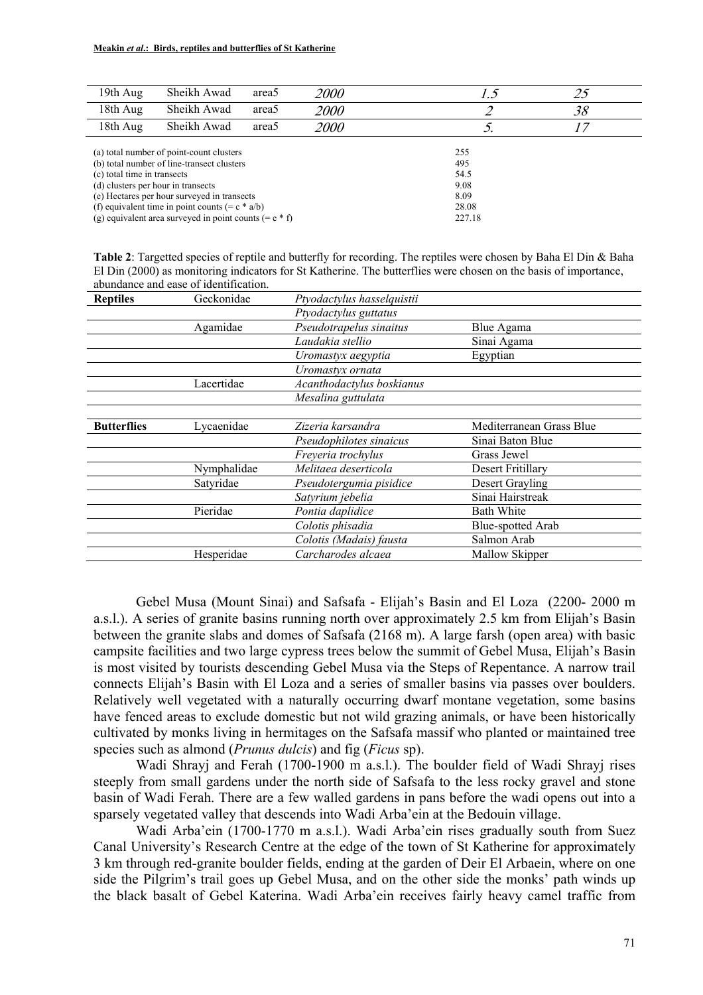| 19th Aug                                        | Sheikh Awad                                              | area <sub>5</sub> | <i>2000</i> | 1.5    | 25 |  |  |  |  |  |
|-------------------------------------------------|----------------------------------------------------------|-------------------|-------------|--------|----|--|--|--|--|--|
| 18th Aug                                        | Sheikh Awad                                              | area <sub>5</sub> | <i>2000</i> |        | 38 |  |  |  |  |  |
| 18th Aug                                        | Sheikh Awad                                              | area <sub>5</sub> | <i>2000</i> |        |    |  |  |  |  |  |
| (a) total number of point-count clusters<br>255 |                                                          |                   |             |        |    |  |  |  |  |  |
|                                                 |                                                          |                   |             |        |    |  |  |  |  |  |
|                                                 | (b) total number of line-transect clusters               |                   |             | 495    |    |  |  |  |  |  |
| (c) total time in transects                     |                                                          |                   |             | 54.5   |    |  |  |  |  |  |
|                                                 | (d) clusters per hour in transects                       |                   |             | 9.08   |    |  |  |  |  |  |
|                                                 | (e) Hectares per hour surveyed in transects              |                   |             | 8.09   |    |  |  |  |  |  |
|                                                 | (f) equivalent time in point counts $(= c * a/b)$        |                   |             | 28.08  |    |  |  |  |  |  |
|                                                 | (g) equivalent area surveyed in point counts $(= e * f)$ |                   |             | 227.18 |    |  |  |  |  |  |

**Table 2**: Targetted species of reptile and butterfly for recording. The reptiles were chosen by Baha El Din & Baha El Din (2000) as monitoring indicators for St Katherine. The butterflies were chosen on the basis of importance, abundance and ease of identification.

| <b>Reptiles</b>    | Geckonidae  | Ptyodactylus hasselquistii |                          |
|--------------------|-------------|----------------------------|--------------------------|
|                    |             | Ptyodactylus guttatus      |                          |
|                    | Agamidae    | Pseudotrapelus sinaitus    | Blue Agama               |
|                    |             | Laudakia stellio           | Sinai Agama              |
|                    |             | Uromastyx aegyptia         | Egyptian                 |
|                    |             | Uromastyx ornata           |                          |
|                    | Lacertidae  | Acanthodactylus boskianus  |                          |
|                    |             | Mesalina guttulata         |                          |
|                    |             |                            |                          |
| <b>Butterflies</b> | Lycaenidae  | Zizeria karsandra          | Mediterranean Grass Blue |
|                    |             | Pseudophilotes sinaicus    | Sinai Baton Blue         |
|                    |             | Freyeria trochylus         | Grass Jewel              |
|                    | Nymphalidae | Melitaea deserticola       | Desert Fritillary        |
|                    | Satyridae   | Pseudotergumia pisidice    | Desert Grayling          |
|                    |             | Satyrium jebelia           | Sinai Hairstreak         |
|                    | Pieridae    | Pontia daplidice           | <b>Bath White</b>        |
|                    |             | Colotis phisadia           | Blue-spotted Arab        |
|                    |             | Colotis (Madais) fausta    | Salmon Arab              |
|                    | Hesperidae  | Carcharodes alcaea         | Mallow Skipper           |
|                    |             |                            |                          |

Gebel Musa (Mount Sinai) and Safsafa - Elijah's Basin and El Loza (2200- 2000 m a.s.l.). A series of granite basins running north over approximately 2.5 km from Elijah's Basin between the granite slabs and domes of Safsafa (2168 m). A large farsh (open area) with basic campsite facilities and two large cypress trees below the summit of Gebel Musa, Elijah's Basin is most visited by tourists descending Gebel Musa via the Steps of Repentance. A narrow trail connects Elijah's Basin with El Loza and a series of smaller basins via passes over boulders. Relatively well vegetated with a naturally occurring dwarf montane vegetation, some basins have fenced areas to exclude domestic but not wild grazing animals, or have been historically cultivated by monks living in hermitages on the Safsafa massif who planted or maintained tree species such as almond (*Prunus dulcis*) and fig (*Ficus* sp).

Wadi Shrayj and Ferah (1700-1900 m a.s.l.). The boulder field of Wadi Shrayj rises steeply from small gardens under the north side of Safsafa to the less rocky gravel and stone basin of Wadi Ferah. There are a few walled gardens in pans before the wadi opens out into a sparsely vegetated valley that descends into Wadi Arba'ein at the Bedouin village.

Wadi Arba'ein (1700-1770 m a.s.l.). Wadi Arba'ein rises gradually south from Suez Canal University's Research Centre at the edge of the town of St Katherine for approximately 3 km through red-granite boulder fields, ending at the garden of Deir El Arbaein, where on one side the Pilgrim's trail goes up Gebel Musa, and on the other side the monks' path winds up the black basalt of Gebel Katerina. Wadi Arba'ein receives fairly heavy camel traffic from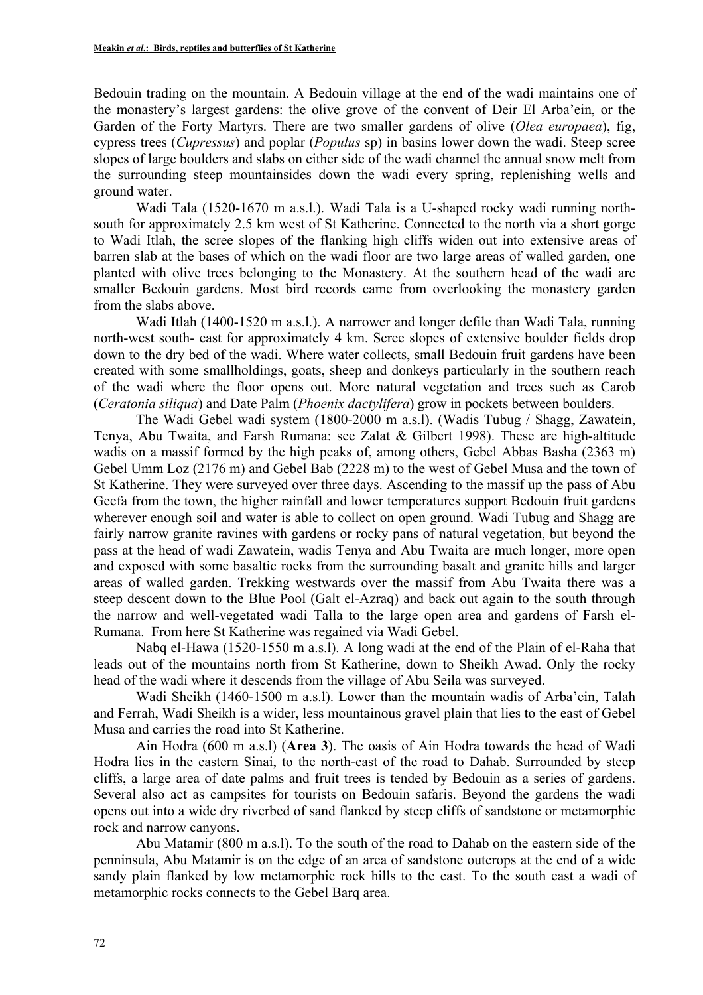Bedouin trading on the mountain. A Bedouin village at the end of the wadi maintains one of the monastery's largest gardens: the olive grove of the convent of Deir El Arba'ein, or the Garden of the Forty Martyrs. There are two smaller gardens of olive (*Olea europaea*), fig, cypress trees (*Cupressus*) and poplar (*Populus* sp) in basins lower down the wadi. Steep scree slopes of large boulders and slabs on either side of the wadi channel the annual snow melt from the surrounding steep mountainsides down the wadi every spring, replenishing wells and ground water.

Wadi Tala (1520-1670 m a.s.l.). Wadi Tala is a U-shaped rocky wadi running northsouth for approximately 2.5 km west of St Katherine. Connected to the north via a short gorge to Wadi Itlah, the scree slopes of the flanking high cliffs widen out into extensive areas of barren slab at the bases of which on the wadi floor are two large areas of walled garden, one planted with olive trees belonging to the Monastery. At the southern head of the wadi are smaller Bedouin gardens. Most bird records came from overlooking the monastery garden from the slabs above.

Wadi Itlah (1400-1520 m a.s.l.). A narrower and longer defile than Wadi Tala, running north-west south- east for approximately 4 km. Scree slopes of extensive boulder fields drop down to the dry bed of the wadi. Where water collects, small Bedouin fruit gardens have been created with some smallholdings, goats, sheep and donkeys particularly in the southern reach of the wadi where the floor opens out. More natural vegetation and trees such as Carob (*Ceratonia siliqua*) and Date Palm (*Phoenix dactylifera*) grow in pockets between boulders.

The Wadi Gebel wadi system (1800-2000 m a.s.l). (Wadis Tubug / Shagg, Zawatein, Tenya, Abu Twaita, and Farsh Rumana: see Zalat & Gilbert 1998). These are high-altitude wadis on a massif formed by the high peaks of, among others, Gebel Abbas Basha (2363 m) Gebel Umm Loz (2176 m) and Gebel Bab (2228 m) to the west of Gebel Musa and the town of St Katherine. They were surveyed over three days. Ascending to the massif up the pass of Abu Geefa from the town, the higher rainfall and lower temperatures support Bedouin fruit gardens wherever enough soil and water is able to collect on open ground. Wadi Tubug and Shagg are fairly narrow granite ravines with gardens or rocky pans of natural vegetation, but beyond the pass at the head of wadi Zawatein, wadis Tenya and Abu Twaita are much longer, more open and exposed with some basaltic rocks from the surrounding basalt and granite hills and larger areas of walled garden. Trekking westwards over the massif from Abu Twaita there was a steep descent down to the Blue Pool (Galt el-Azraq) and back out again to the south through the narrow and well-vegetated wadi Talla to the large open area and gardens of Farsh el-Rumana. From here St Katherine was regained via Wadi Gebel.

Nabq el-Hawa (1520-1550 m a.s.l). A long wadi at the end of the Plain of el-Raha that leads out of the mountains north from St Katherine, down to Sheikh Awad. Only the rocky head of the wadi where it descends from the village of Abu Seila was surveyed.

Wadi Sheikh (1460-1500 m a.s.l). Lower than the mountain wadis of Arba'ein, Talah and Ferrah, Wadi Sheikh is a wider, less mountainous gravel plain that lies to the east of Gebel Musa and carries the road into St Katherine.

Ain Hodra (600 m a.s.l) (**Area 3**). The oasis of Ain Hodra towards the head of Wadi Hodra lies in the eastern Sinai, to the north-east of the road to Dahab. Surrounded by steep cliffs, a large area of date palms and fruit trees is tended by Bedouin as a series of gardens. Several also act as campsites for tourists on Bedouin safaris. Beyond the gardens the wadi opens out into a wide dry riverbed of sand flanked by steep cliffs of sandstone or metamorphic rock and narrow canyons.

Abu Matamir (800 m a.s.l). To the south of the road to Dahab on the eastern side of the penninsula, Abu Matamir is on the edge of an area of sandstone outcrops at the end of a wide sandy plain flanked by low metamorphic rock hills to the east. To the south east a wadi of metamorphic rocks connects to the Gebel Barq area.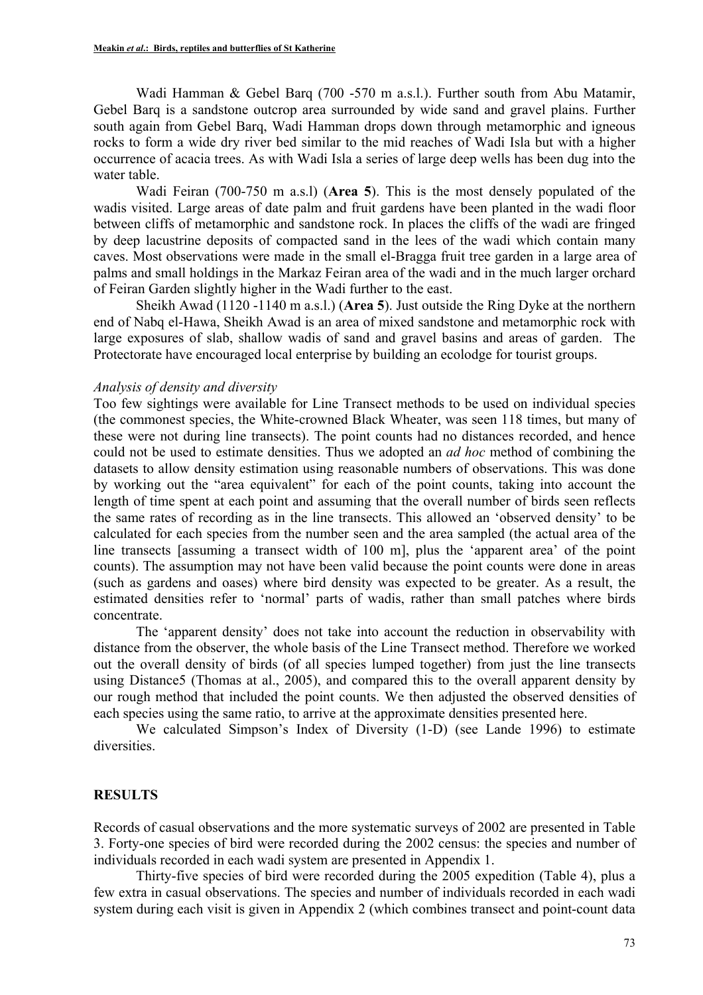Wadi Hamman & Gebel Barq (700 -570 m a.s.l.). Further south from Abu Matamir, Gebel Barq is a sandstone outcrop area surrounded by wide sand and gravel plains. Further south again from Gebel Barq, Wadi Hamman drops down through metamorphic and igneous rocks to form a wide dry river bed similar to the mid reaches of Wadi Isla but with a higher occurrence of acacia trees. As with Wadi Isla a series of large deep wells has been dug into the water table.

Wadi Feiran (700-750 m a.s.l) (**Area 5**). This is the most densely populated of the wadis visited. Large areas of date palm and fruit gardens have been planted in the wadi floor between cliffs of metamorphic and sandstone rock. In places the cliffs of the wadi are fringed by deep lacustrine deposits of compacted sand in the lees of the wadi which contain many caves. Most observations were made in the small el-Bragga fruit tree garden in a large area of palms and small holdings in the Markaz Feiran area of the wadi and in the much larger orchard of Feiran Garden slightly higher in the Wadi further to the east.

Sheikh Awad (1120 -1140 m a.s.l.) (**Area 5**). Just outside the Ring Dyke at the northern end of Nabq el-Hawa, Sheikh Awad is an area of mixed sandstone and metamorphic rock with large exposures of slab, shallow wadis of sand and gravel basins and areas of garden. The Protectorate have encouraged local enterprise by building an ecolodge for tourist groups.

#### *Analysis of density and diversity*

Too few sightings were available for Line Transect methods to be used on individual species (the commonest species, the White-crowned Black Wheater, was seen 118 times, but many of these were not during line transects). The point counts had no distances recorded, and hence could not be used to estimate densities. Thus we adopted an *ad hoc* method of combining the datasets to allow density estimation using reasonable numbers of observations. This was done by working out the "area equivalent" for each of the point counts, taking into account the length of time spent at each point and assuming that the overall number of birds seen reflects the same rates of recording as in the line transects. This allowed an 'observed density' to be calculated for each species from the number seen and the area sampled (the actual area of the line transects [assuming a transect width of 100 m], plus the 'apparent area' of the point counts). The assumption may not have been valid because the point counts were done in areas (such as gardens and oases) where bird density was expected to be greater. As a result, the estimated densities refer to 'normal' parts of wadis, rather than small patches where birds concentrate.

The 'apparent density' does not take into account the reduction in observability with distance from the observer, the whole basis of the Line Transect method. Therefore we worked out the overall density of birds (of all species lumped together) from just the line transects using Distance5 (Thomas at al., 2005), and compared this to the overall apparent density by our rough method that included the point counts. We then adjusted the observed densities of each species using the same ratio, to arrive at the approximate densities presented here.

We calculated Simpson's Index of Diversity (1-D) (see Lande 1996) to estimate diversities.

### **RESULTS**

Records of casual observations and the more systematic surveys of 2002 are presented in Table 3. Forty-one species of bird were recorded during the 2002 census: the species and number of individuals recorded in each wadi system are presented in Appendix 1.

Thirty-five species of bird were recorded during the 2005 expedition (Table 4), plus a few extra in casual observations. The species and number of individuals recorded in each wadi system during each visit is given in Appendix 2 (which combines transect and point-count data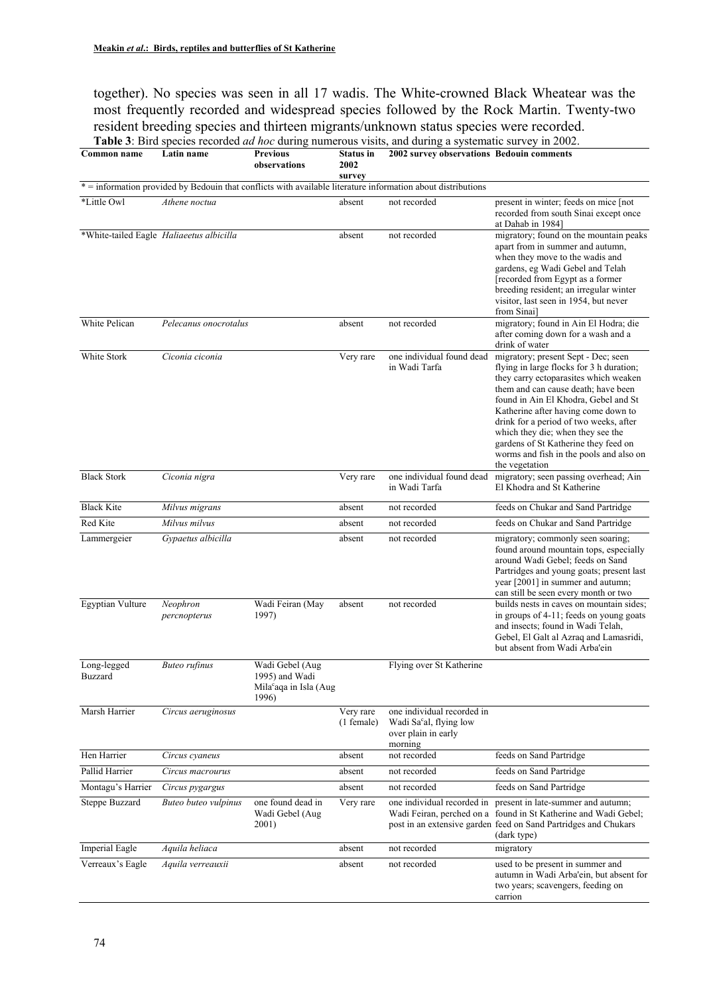together). No species was seen in all 17 wadis. The White-crowned Black Wheatear was the most frequently recorded and widespread species followed by the Rock Martin. Twenty-two resident breeding species and thirteen migrants/unknown status species were recorded. **Table 3**: Bird species recorded *ad hoc* during numerous visits, and during a systematic survey in 2002.

| Common name             | Latin name                               | <b>Previous</b><br>observations                                                  | <b>Status</b> in<br>2002<br>survey | 2002 survey observations Bedouin comments                                                                    |                                                                                                                                                                                                                                                                                                                                                                                                                                    |
|-------------------------|------------------------------------------|----------------------------------------------------------------------------------|------------------------------------|--------------------------------------------------------------------------------------------------------------|------------------------------------------------------------------------------------------------------------------------------------------------------------------------------------------------------------------------------------------------------------------------------------------------------------------------------------------------------------------------------------------------------------------------------------|
|                         |                                          |                                                                                  |                                    | * = information provided by Bedouin that conflicts with available literature information about distributions |                                                                                                                                                                                                                                                                                                                                                                                                                                    |
| *Little Owl             | Athene noctua                            |                                                                                  | absent                             | not recorded                                                                                                 | present in winter; feeds on mice [not<br>recorded from south Sinai except once<br>at Dahab in 1984]                                                                                                                                                                                                                                                                                                                                |
|                         | *White-tailed Eagle Haliaeetus albicilla |                                                                                  | absent                             | not recorded                                                                                                 | migratory; found on the mountain peaks<br>apart from in summer and autumn,<br>when they move to the wadis and<br>gardens, eg Wadi Gebel and Telah<br>[recorded from Egypt as a former<br>breeding resident; an irregular winter<br>visitor, last seen in 1954, but never<br>from Sinai]                                                                                                                                            |
| White Pelican           | Pelecanus onocrotalus                    |                                                                                  | absent                             | not recorded                                                                                                 | migratory; found in Ain El Hodra; die<br>after coming down for a wash and a<br>drink of water                                                                                                                                                                                                                                                                                                                                      |
| White Stork             | Ciconia ciconia                          |                                                                                  | Very rare                          | one individual found dead<br>in Wadi Tarfa                                                                   | migratory; present Sept - Dec; seen<br>flying in large flocks for 3 h duration;<br>they carry ectoparasites which weaken<br>them and can cause death: have been<br>found in Ain El Khodra, Gebel and St<br>Katherine after having come down to<br>drink for a period of two weeks, after<br>which they die; when they see the<br>gardens of St Katherine they feed on<br>worms and fish in the pools and also on<br>the vegetation |
| <b>Black Stork</b>      | Ciconia nigra                            |                                                                                  | Very rare                          | one individual found dead<br>in Wadi Tarfa                                                                   | migratory; seen passing overhead; Ain<br>El Khodra and St Katherine                                                                                                                                                                                                                                                                                                                                                                |
| <b>Black Kite</b>       | Milvus migrans                           |                                                                                  | absent                             | not recorded                                                                                                 | feeds on Chukar and Sand Partridge                                                                                                                                                                                                                                                                                                                                                                                                 |
| Red Kite                | Milvus milvus                            |                                                                                  | absent                             | not recorded                                                                                                 | feeds on Chukar and Sand Partridge                                                                                                                                                                                                                                                                                                                                                                                                 |
| Lammergeier             | Gypaetus albicilla                       |                                                                                  | absent                             | not recorded                                                                                                 | migratory; commonly seen soaring;<br>found around mountain tops, especially<br>around Wadi Gebel; feeds on Sand<br>Partridges and young goats; present last<br>year [2001] in summer and autumn;<br>can still be seen every month or two                                                                                                                                                                                           |
| <b>Egyptian Vulture</b> | Neophron<br>percnopterus                 | Wadi Feiran (May<br>1997)                                                        | absent                             | not recorded                                                                                                 | builds nests in caves on mountain sides;<br>in groups of 4-11; feeds on young goats<br>and insects; found in Wadi Telah,<br>Gebel, El Galt al Azraq and Lamasridi,<br>but absent from Wadi Arba'ein                                                                                                                                                                                                                                |
| Long-legged<br>Buzzard  | <b>Buteo rufinus</b>                     | Wadi Gebel (Aug<br>1995) and Wadi<br>Mila <sup>c</sup> aqa in Isla (Aug<br>1996) |                                    | Flying over St Katherine                                                                                     |                                                                                                                                                                                                                                                                                                                                                                                                                                    |
| Marsh Harrier           | Circus aeruginosus                       |                                                                                  | Very rare<br>$(1)$ female)         | one individual recorded in<br>Wadi Sa <sup>c</sup> al, flying low<br>over plain in early<br>morning          |                                                                                                                                                                                                                                                                                                                                                                                                                                    |
| Hen Harrier             | Circus cyaneus                           |                                                                                  | absent                             | not recorded                                                                                                 | feeds on Sand Partridge                                                                                                                                                                                                                                                                                                                                                                                                            |
| Pallid Harrier          | Circus macrourus                         |                                                                                  | absent                             | not recorded                                                                                                 | feeds on Sand Partridge                                                                                                                                                                                                                                                                                                                                                                                                            |
| Montagu's Harrier       | Circus pygargus                          |                                                                                  | absent                             | not recorded                                                                                                 | feeds on Sand Partridge                                                                                                                                                                                                                                                                                                                                                                                                            |
| Steppe Buzzard          | Buteo buteo vulpinus                     | one found dead in<br>Wadi Gebel (Aug<br>2001)                                    | Very rare                          | one individual recorded in                                                                                   | present in late-summer and autumn;<br>Wadi Feiran, perched on a found in St Katherine and Wadi Gebel;<br>post in an extensive garden feed on Sand Partridges and Chukars<br>(dark type)                                                                                                                                                                                                                                            |
| <b>Imperial Eagle</b>   | Aquila heliaca                           |                                                                                  | absent                             | not recorded                                                                                                 | migratory                                                                                                                                                                                                                                                                                                                                                                                                                          |
| Verreaux's Eagle        | Aquila verreauxii                        |                                                                                  | absent                             | not recorded                                                                                                 | used to be present in summer and<br>autumn in Wadi Arba'ein, but absent for<br>two years; scavengers, feeding on<br>carrion                                                                                                                                                                                                                                                                                                        |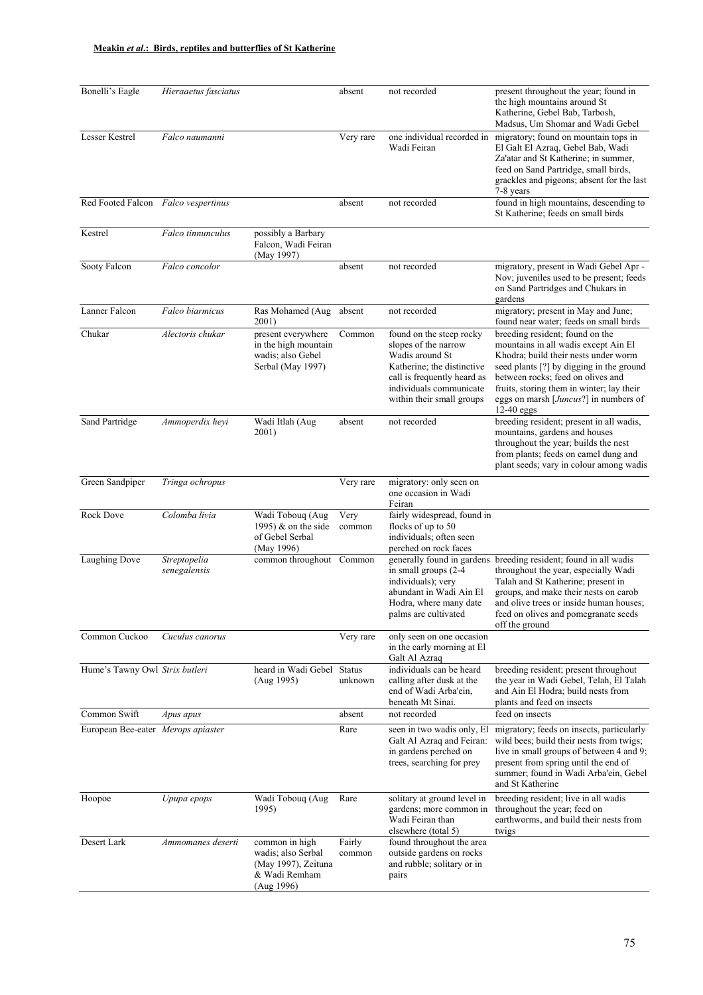| Bonelli's Eagle                     | Hieraaetus fasciatus         |                                                                                            | absent           | not recorded                                                                                                                                                                             | present throughout the year; found in<br>the high mountains around St<br>Katherine, Gebel Bab, Tarbosh,<br>Madsus, Um Shomar and Wadi Gebel                                                                                                                                                                     |
|-------------------------------------|------------------------------|--------------------------------------------------------------------------------------------|------------------|------------------------------------------------------------------------------------------------------------------------------------------------------------------------------------------|-----------------------------------------------------------------------------------------------------------------------------------------------------------------------------------------------------------------------------------------------------------------------------------------------------------------|
| Lesser Kestrel                      | Falco naumanni               |                                                                                            | Very rare        | one individual recorded in<br>Wadi Feiran                                                                                                                                                | migratory; found on mountain tops in<br>El Galt El Azraq, Gebel Bab, Wadi<br>Za'atar and St Katherine; in summer,<br>feed on Sand Partridge, small birds,<br>grackles and pigeons; absent for the last<br>7-8 years                                                                                             |
| Red Footed Falcon Falco vespertinus |                              |                                                                                            | absent           | not recorded                                                                                                                                                                             | found in high mountains, descending to<br>St Katherine; feeds on small birds                                                                                                                                                                                                                                    |
| Kestrel                             | Falco tinnunculus            | possibly a Barbary<br>Falcon, Wadi Feiran<br>(May 1997)                                    |                  |                                                                                                                                                                                          |                                                                                                                                                                                                                                                                                                                 |
| Sooty Falcon                        | Falco concolor               |                                                                                            | absent           | not recorded                                                                                                                                                                             | migratory, present in Wadi Gebel Apr -<br>Nov; juveniles used to be present; feeds<br>on Sand Partridges and Chukars in<br>gardens                                                                                                                                                                              |
| Lanner Falcon                       | Falco biarmicus              | Ras Mohamed (Aug<br>2001)                                                                  | absent           | not recorded                                                                                                                                                                             | migratory; present in May and June;<br>found near water; feeds on small birds                                                                                                                                                                                                                                   |
| Chukar                              | Alectoris chukar             | present everywhere<br>in the high mountain<br>wadis; also Gebel<br>Serbal (May 1997)       | Common           | found on the steep rocky<br>slopes of the narrow<br>Wadis around St<br>Katherine; the distinctive<br>call is frequently heard as<br>individuals communicate<br>within their small groups | breeding resident; found on the<br>mountains in all wadis except Ain El<br>Khodra; build their nests under worm<br>seed plants [?] by digging in the ground<br>between rocks; feed on olives and<br>fruits, storing them in winter; lay their<br>eggs on marsh [ <i>Juncus</i> ?] in numbers of<br>$12-40$ eggs |
| Sand Partridge                      | Ammoperdix heyi              | Wadi Itlah (Aug<br>2001)                                                                   | absent           | not recorded                                                                                                                                                                             | breeding resident; present in all wadis,<br>mountains, gardens and houses<br>throughout the year; builds the nest<br>from plants; feeds on camel dung and<br>plant seeds; vary in colour among wadis                                                                                                            |
| Green Sandpiper                     | Tringa ochropus              |                                                                                            | Very rare        | migratory: only seen on<br>one occasion in Wadi<br>Feiran                                                                                                                                |                                                                                                                                                                                                                                                                                                                 |
| Rock Dove                           | Colomba livia                | Wadi Tobouq (Aug<br>1995) $&$ on the side<br>of Gebel Serbal<br>(May 1996)                 | Very<br>common   | fairly widespread, found in<br>flocks of up to 50<br>individuals; often seen<br>perched on rock faces                                                                                    |                                                                                                                                                                                                                                                                                                                 |
| Laughing Dove                       | Streptopelia<br>senegalensis | common throughout Common                                                                   |                  | generally found in gardens<br>in small groups (2-4<br>individuals); very<br>abundant in Wadi Ain El<br>Hodra, where many date<br>palms are cultivated                                    | breeding resident; found in all wadis<br>throughout the year, especially Wadi<br>Talah and St Katherine; present in<br>groups, and make their nests on carob<br>and olive trees or inside human houses;<br>feed on olives and pomegranate seeds<br>off the ground                                               |
| Common Cuckoo                       | Cuculus canorus              |                                                                                            | Very rare        | only seen on one occasion<br>in the early morning at El<br>Galt Al Azraq                                                                                                                 |                                                                                                                                                                                                                                                                                                                 |
| Hume's Tawny Owl Strix butleri      |                              | heard in Wadi Gebel Status<br>(Aug 1995)                                                   | unknown          | individuals can be heard<br>calling after dusk at the<br>end of Wadi Arba'ein,<br>beneath Mt Sinai.                                                                                      | breeding resident; present throughout<br>the year in Wadi Gebel, Telah, El Talah<br>and Ain El Hodra; build nests from<br>plants and feed on insects                                                                                                                                                            |
| Common Swift                        | Apus apus                    |                                                                                            | absent           | not recorded                                                                                                                                                                             | feed on insects                                                                                                                                                                                                                                                                                                 |
| European Bee-eater Merops apiaster  |                              |                                                                                            | Rare             | seen in two wadis only, El<br>Galt Al Azraq and Feiran:<br>in gardens perched on<br>trees, searching for prey                                                                            | migratory; feeds on insects, particularly<br>wild bees; build their nests from twigs;<br>live in small groups of between 4 and 9;<br>present from spring until the end of<br>summer; found in Wadi Arba'ein, Gebel<br>and St Katherine                                                                          |
| Hoopoe                              | Upupa epops                  | Wadi Tobouq (Aug<br>1995)                                                                  | Rare             | solitary at ground level in<br>gardens; more common in<br>Wadi Feiran than<br>elsewhere (total 5)                                                                                        | breeding resident; live in all wadis<br>throughout the year; feed on<br>earthworms, and build their nests from<br>twigs                                                                                                                                                                                         |
| Desert Lark                         | Ammomanes deserti            | common in high<br>wadis; also Serbal<br>(May 1997), Zeituna<br>& Wadi Remham<br>(Aug 1996) | Fairly<br>common | found throughout the area<br>outside gardens on rocks<br>and rubble; solitary or in<br>pairs                                                                                             |                                                                                                                                                                                                                                                                                                                 |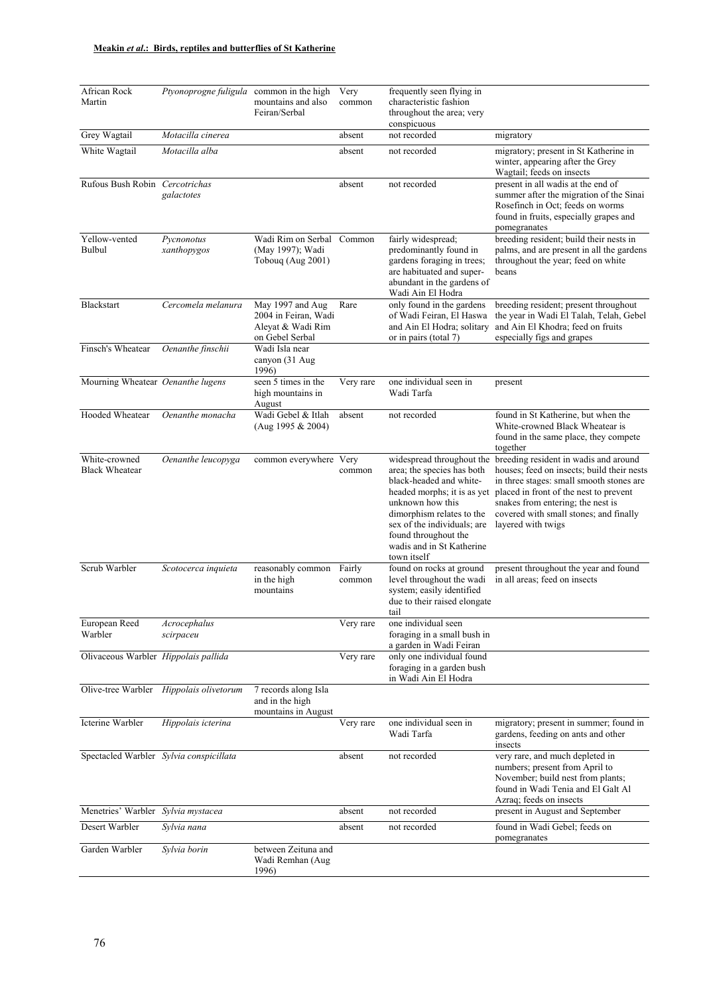| African Rock<br>Martin                  | Ptyonoprogne fuligula common in the high | mountains and also<br>Feiran/Serbal                                              | Very<br>common   | frequently seen flying in<br>characteristic fashion<br>throughout the area; very<br>conspicuous                                                                                                                                                                       |                                                                                                                                                                                                                                                                                |
|-----------------------------------------|------------------------------------------|----------------------------------------------------------------------------------|------------------|-----------------------------------------------------------------------------------------------------------------------------------------------------------------------------------------------------------------------------------------------------------------------|--------------------------------------------------------------------------------------------------------------------------------------------------------------------------------------------------------------------------------------------------------------------------------|
| Grey Wagtail                            | Motacilla cinerea                        |                                                                                  | absent           | not recorded                                                                                                                                                                                                                                                          | migratory                                                                                                                                                                                                                                                                      |
| White Wagtail                           | Motacilla alba                           |                                                                                  | absent           | not recorded                                                                                                                                                                                                                                                          | migratory; present in St Katherine in<br>winter, appearing after the Grey<br>Wagtail; feeds on insects                                                                                                                                                                         |
| Rufous Bush Robin Cercotrichas          | galactotes                               |                                                                                  | absent           | not recorded                                                                                                                                                                                                                                                          | present in all wadis at the end of<br>summer after the migration of the Sinai<br>Rosefinch in Oct; feeds on worms<br>found in fruits, especially grapes and<br>pomegranates                                                                                                    |
| Yellow-vented<br>Bulbul                 | Pycnonotus<br>xanthopygos                | Wadi Rim on Serbal<br>(May 1997); Wadi<br>Tobouq (Aug 2001)                      | Common           | fairly widespread;<br>predominantly found in<br>gardens foraging in trees;<br>are habituated and super-<br>abundant in the gardens of<br>Wadi Ain El Hodra                                                                                                            | breeding resident; build their nests in<br>palms, and are present in all the gardens<br>throughout the year; feed on white<br>beans                                                                                                                                            |
| Blackstart                              | Cercomela melanura                       | May 1997 and Aug<br>2004 in Feiran, Wadi<br>Aleyat & Wadi Rim<br>on Gebel Serbal | Rare             | only found in the gardens<br>of Wadi Feiran, El Haswa<br>and Ain El Hodra; solitary<br>or in pairs (total 7)                                                                                                                                                          | breeding resident; present throughout<br>the year in Wadi El Talah, Telah, Gebel<br>and Ain El Khodra; feed on fruits<br>especially figs and grapes                                                                                                                            |
| Finsch's Wheatear                       | Oenanthe finschii                        | Wadi Isla near<br>canyon (31 Aug<br>1996)                                        |                  |                                                                                                                                                                                                                                                                       |                                                                                                                                                                                                                                                                                |
| Mourning Wheatear Oenanthe lugens       |                                          | seen 5 times in the<br>high mountains in<br>August                               | Very rare        | one individual seen in<br>Wadi Tarfa                                                                                                                                                                                                                                  | present                                                                                                                                                                                                                                                                        |
| Hooded Wheatear                         | Oenanthe monacha                         | Wadi Gebel & Itlah<br>(Aug 1995 & 2004)                                          | absent           | not recorded                                                                                                                                                                                                                                                          | found in St Katherine, but when the<br>White-crowned Black Wheatear is<br>found in the same place, they compete<br>together                                                                                                                                                    |
| White-crowned<br><b>Black Wheatear</b>  | Oenanthe leucopyga                       | common everywhere Very                                                           | common           | widespread throughout the<br>area; the species has both<br>black-headed and white-<br>headed morphs; it is as yet<br>unknown how this<br>dimorphism relates to the<br>sex of the individuals; are<br>found throughout the<br>wadis and in St Katherine<br>town itself | breeding resident in wadis and around<br>houses; feed on insects; build their nests<br>in three stages: small smooth stones are<br>placed in front of the nest to prevent<br>snakes from entering; the nest is<br>covered with small stones; and finally<br>layered with twigs |
| Scrub Warbler                           | Scotocerca inquieta                      | reasonably common<br>in the high<br>mountains                                    | Fairly<br>common | found on rocks at ground<br>level throughout the wadi<br>system; easily identified<br>due to their raised elongate<br>tail                                                                                                                                            | present throughout the year and found<br>in all areas; feed on insects                                                                                                                                                                                                         |
| European Reed<br>Warbler                | Acrocephalus<br>scirpaceu                |                                                                                  | Very rare        | one individual seen<br>foraging in a small bush in<br>a garden in Wadi Feiran                                                                                                                                                                                         |                                                                                                                                                                                                                                                                                |
| Olivaceous Warbler Hippolais pallida    |                                          |                                                                                  | Very rare        | only one individual found<br>foraging in a garden bush<br>in Wadi Ain El Hodra                                                                                                                                                                                        |                                                                                                                                                                                                                                                                                |
|                                         | Olive-tree Warbler Hippolais olivetorum  | 7 records along Isla<br>and in the high<br>mountains in August                   |                  |                                                                                                                                                                                                                                                                       |                                                                                                                                                                                                                                                                                |
| Icterine Warbler                        | Hippolais icterina                       |                                                                                  | Very rare        | one individual seen in<br>Wadi Tarfa                                                                                                                                                                                                                                  | migratory; present in summer; found in<br>gardens, feeding on ants and other<br>insects                                                                                                                                                                                        |
| Spectacled Warbler Sylvia conspicillata |                                          |                                                                                  | absent           | not recorded                                                                                                                                                                                                                                                          | very rare, and much depleted in<br>numbers; present from April to<br>November; build nest from plants;<br>found in Wadi Tenia and El Galt Al<br>Azraq; feeds on insects                                                                                                        |
| Menetries' Warbler Sylvia mystacea      |                                          |                                                                                  | absent           | not recorded                                                                                                                                                                                                                                                          | present in August and September                                                                                                                                                                                                                                                |
| Desert Warbler                          | Sylvia nana                              |                                                                                  | absent           | not recorded                                                                                                                                                                                                                                                          | found in Wadi Gebel; feeds on<br>pomegranates                                                                                                                                                                                                                                  |
| Garden Warbler                          | Sylvia borin                             | between Zeituna and<br>Wadi Remhan (Aug<br>1996)                                 |                  |                                                                                                                                                                                                                                                                       |                                                                                                                                                                                                                                                                                |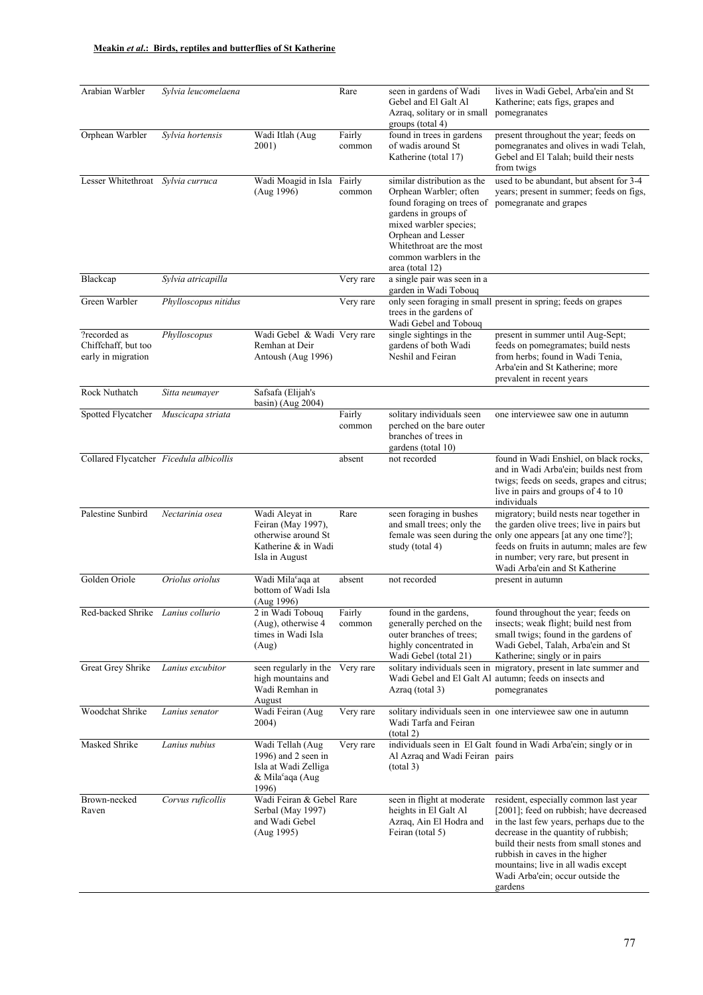| Arabian Warbler                                           | Sylvia leucomelaena  |                                                                                                          | Rare             | seen in gardens of Wadi<br>Gebel and El Galt Al<br>Azraq, solitary or in small<br>groups (total 4)                                                                                                                                   | lives in Wadi Gebel, Arba'ein and St<br>Katherine; eats figs, grapes and<br>pomegranates                                                                                                                                                                                                                                                 |
|-----------------------------------------------------------|----------------------|----------------------------------------------------------------------------------------------------------|------------------|--------------------------------------------------------------------------------------------------------------------------------------------------------------------------------------------------------------------------------------|------------------------------------------------------------------------------------------------------------------------------------------------------------------------------------------------------------------------------------------------------------------------------------------------------------------------------------------|
| Orphean Warbler                                           | Sylvia hortensis     | Wadi Itlah (Aug<br>2001)                                                                                 | Fairly<br>common | found in trees in gardens<br>of wadis around St<br>Katherine (total 17)                                                                                                                                                              | present throughout the year; feeds on<br>pomegranates and olives in wadi Telah,<br>Gebel and El Talah; build their nests<br>from twigs                                                                                                                                                                                                   |
| Lesser Whitethroat                                        | Sylvia curruca       | Wadi Moagid in Isla Fairly<br>(Aug 1996)                                                                 | common           | similar distribution as the<br>Orphean Warbler; often<br>found foraging on trees of<br>gardens in groups of<br>mixed warbler species;<br>Orphean and Lesser<br>Whitethroat are the most<br>common warblers in the<br>area (total 12) | used to be abundant, but absent for 3-4<br>years; present in summer; feeds on figs,<br>pomegranate and grapes                                                                                                                                                                                                                            |
| Blackcap                                                  | Sylvia atricapilla   |                                                                                                          | Very rare        | a single pair was seen in a<br>garden in Wadi Tobouq                                                                                                                                                                                 |                                                                                                                                                                                                                                                                                                                                          |
| Green Warbler                                             | Phylloscopus nitidus |                                                                                                          | Very rare        | trees in the gardens of<br>Wadi Gebel and Tobouq                                                                                                                                                                                     | only seen foraging in small present in spring; feeds on grapes                                                                                                                                                                                                                                                                           |
| ?recorded as<br>Chiffchaff, but too<br>early in migration | Phylloscopus         | Wadi Gebel & Wadi Very rare<br>Remhan at Deir<br>Antoush (Aug 1996)                                      |                  | single sightings in the<br>gardens of both Wadi<br>Neshil and Feiran                                                                                                                                                                 | present in summer until Aug-Sept;<br>feeds on pomegramates; build nests<br>from herbs; found in Wadi Tenia,<br>Arba'ein and St Katherine; more<br>prevalent in recent years                                                                                                                                                              |
| Rock Nuthatch                                             | Sitta neumayer       | Safsafa (Elijah's<br>basin) (Aug $2004$ )                                                                |                  |                                                                                                                                                                                                                                      |                                                                                                                                                                                                                                                                                                                                          |
| Spotted Flycatcher Muscicapa striata                      |                      |                                                                                                          | Fairly<br>common | solitary individuals seen<br>perched on the bare outer<br>branches of trees in<br>gardens (total 10)                                                                                                                                 | one interviewee saw one in autumn                                                                                                                                                                                                                                                                                                        |
| Collared Flycatcher Ficedula albicollis                   |                      |                                                                                                          | absent           | not recorded                                                                                                                                                                                                                         | found in Wadi Enshiel, on black rocks,<br>and in Wadi Arba'ein; builds nest from<br>twigs; feeds on seeds, grapes and citrus;<br>live in pairs and groups of 4 to 10<br>individuals                                                                                                                                                      |
| Palestine Sunbird                                         | Nectarinia osea      | Wadi Aleyat in<br>Feiran (May 1997),<br>otherwise around St<br>Katherine & in Wadi<br>Isla in August     | Rare             | seen foraging in bushes<br>and small trees; only the<br>study (total 4)                                                                                                                                                              | migratory; build nests near together in<br>the garden olive trees; live in pairs but<br>female was seen during the only one appears [at any one time?];<br>feeds on fruits in autumn; males are few<br>in number; very rare, but present in<br>Wadi Arba'ein and St Katherine                                                            |
| Golden Oriole                                             | Oriolus oriolus      | Wadi Mila <sup>c</sup> aqa at<br>bottom of Wadi Isla<br>(Aug 1996)                                       | absent           | not recorded                                                                                                                                                                                                                         | present in autumn                                                                                                                                                                                                                                                                                                                        |
| Red-backed Shrike Lanius collurio                         |                      | 2 in Wadi Tobouq<br>(Aug), otherwise 4<br>times in Wadi Isla<br>(Aug)                                    | Fairly<br>common | found in the gardens,<br>generally perched on the<br>outer branches of trees;<br>highly concentrated in<br>Wadi Gebel (total 21)                                                                                                     | found throughout the year; feeds on<br>insects; weak flight; build nest from<br>small twigs; found in the gardens of<br>Wadi Gebel, Talah, Arba'ein and St<br>Katherine; singly or in pairs                                                                                                                                              |
| Great Grey Shrike                                         | Lanius excubitor     | seen regularly in the<br>high mountains and<br>Wadi Remhan in<br>August                                  | Very rare        | Azraq (total 3)                                                                                                                                                                                                                      | solitary individuals seen in migratory, present in late summer and<br>Wadi Gebel and El Galt Al autumn; feeds on insects and<br>pomegranates                                                                                                                                                                                             |
| Woodchat Shrike                                           | Lanius senator       | Wadi Feiran (Aug<br>2004)                                                                                | Very rare        | Wadi Tarfa and Feiran<br>(total 2)                                                                                                                                                                                                   | solitary individuals seen in one interviewee saw one in autumn                                                                                                                                                                                                                                                                           |
| Masked Shrike                                             | Lanius nubius        | Wadi Tellah (Aug<br>1996) and 2 seen in<br>Isla at Wadi Zelliga<br>& Mila <sup>c</sup> aqa (Aug<br>1996) | Very rare        | Al Azraq and Wadi Feiran pairs<br>(total 3)                                                                                                                                                                                          | individuals seen in El Galt found in Wadi Arba'ein; singly or in                                                                                                                                                                                                                                                                         |
| Brown-necked<br>Raven                                     | Corvus ruficollis    | Wadi Feiran & Gebel Rare<br>Serbal (May 1997)<br>and Wadi Gebel<br>(Aug 1995)                            |                  | seen in flight at moderate<br>heights in El Galt Al<br>Azraq, Ain El Hodra and<br>Feiran (total 5)                                                                                                                                   | resident, especially common last year<br>[2001]; feed on rubbish; have decreased<br>in the last few years, perhaps due to the<br>decrease in the quantity of rubbish;<br>build their nests from small stones and<br>rubbish in caves in the higher<br>mountains; live in all wadis except<br>Wadi Arba'ein; occur outside the<br>gardens |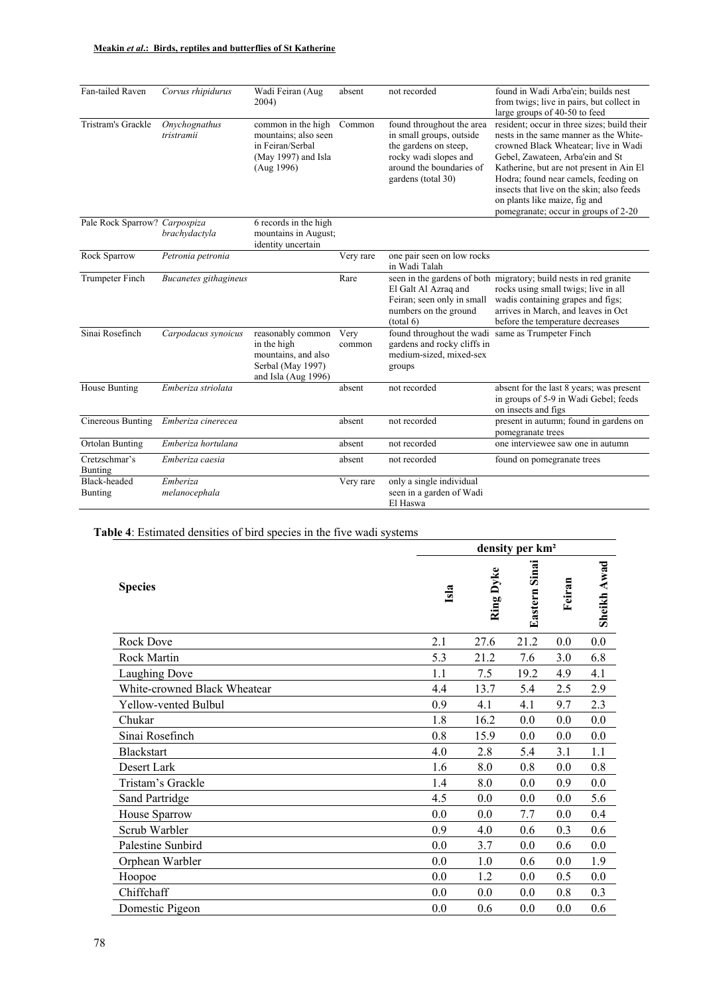| Fan-tailed Raven                | Corvus rhipidurus           | Wadi Feiran (Aug<br>2004)                                                                           | absent         | not recorded                                                                                                                                              | found in Wadi Arba'ein; builds nest<br>from twigs; live in pairs, but collect in<br>large groups of 40-50 to feed                                                                                                                                                                                                                                                           |
|---------------------------------|-----------------------------|-----------------------------------------------------------------------------------------------------|----------------|-----------------------------------------------------------------------------------------------------------------------------------------------------------|-----------------------------------------------------------------------------------------------------------------------------------------------------------------------------------------------------------------------------------------------------------------------------------------------------------------------------------------------------------------------------|
| Tristram's Grackle              | Onychognathus<br>tristramii | common in the high<br>mountains; also seen<br>in Feiran/Serbal<br>(May 1997) and Isla<br>(Aug 1996) | Common         | found throughout the area<br>in small groups, outside<br>the gardens on steep.<br>rocky wadi slopes and<br>around the boundaries of<br>gardens (total 30) | resident; occur in three sizes; build their<br>nests in the same manner as the White-<br>crowned Black Wheatear; live in Wadi<br>Gebel, Zawateen, Arba'ein and St<br>Katherine, but are not present in Ain El<br>Hodra; found near camels, feeding on<br>insects that live on the skin; also feeds<br>on plants like maize, fig and<br>pomegranate; occur in groups of 2-20 |
| Pale Rock Sparrow? Carpospiza   | brachydactyla               | 6 records in the high<br>mountains in August;<br>identity uncertain                                 |                |                                                                                                                                                           |                                                                                                                                                                                                                                                                                                                                                                             |
| Rock Sparrow                    | Petronia petronia           |                                                                                                     | Very rare      | one pair seen on low rocks<br>in Wadi Talah                                                                                                               |                                                                                                                                                                                                                                                                                                                                                                             |
| Trumpeter Finch                 | Bucanetes githagineus       |                                                                                                     | Rare           | El Galt Al Azraq and<br>Feiran; seen only in small<br>numbers on the ground<br>(total 6)                                                                  | seen in the gardens of both migratory; build nests in red granite<br>rocks using small twigs; live in all<br>wadis containing grapes and figs;<br>arrives in March, and leaves in Oct<br>before the temperature decreases                                                                                                                                                   |
| Sinai Rosefinch                 | Carpodacus synoicus         | reasonably common<br>in the high<br>mountains, and also<br>Serbal (May 1997)<br>and Isla (Aug 1996) | Very<br>common | found throughout the wadi<br>gardens and rocky cliffs in<br>medium-sized, mixed-sex<br>groups                                                             | same as Trumpeter Finch                                                                                                                                                                                                                                                                                                                                                     |
| House Bunting                   | Emberiza striolata          |                                                                                                     | absent         | not recorded                                                                                                                                              | absent for the last 8 years; was present<br>in groups of 5-9 in Wadi Gebel; feeds<br>on insects and figs                                                                                                                                                                                                                                                                    |
| Cinereous Bunting               | Emberiza cinerecea          |                                                                                                     | absent         | not recorded                                                                                                                                              | present in autumn; found in gardens on<br>pomegranate trees                                                                                                                                                                                                                                                                                                                 |
| Ortolan Bunting                 | Emberiza hortulana          |                                                                                                     | absent         | not recorded                                                                                                                                              | one interviewee saw one in autumn                                                                                                                                                                                                                                                                                                                                           |
| Cretzschmar's<br><b>Bunting</b> | Emberiza caesia             |                                                                                                     | absent         | not recorded                                                                                                                                              | found on pomegranate trees                                                                                                                                                                                                                                                                                                                                                  |
| Black-headed<br><b>Bunting</b>  | Emberiza<br>melanocephala   |                                                                                                     | Very rare      | only a single individual<br>seen in a garden of Wadi<br>El Haswa                                                                                          |                                                                                                                                                                                                                                                                                                                                                                             |

# **Table 4**: Estimated densities of bird species in the five wadi systems

|                              | density per km <sup>2</sup> |           |              |        |             |  |  |  |  |
|------------------------------|-----------------------------|-----------|--------------|--------|-------------|--|--|--|--|
| <b>Species</b>               | Isla                        | Ring Dyke | Eastern Sina | Feiran | Sheikh Awad |  |  |  |  |
| Rock Dove                    | 2.1                         | 27.6      | 21.2         | 0.0    | 0.0         |  |  |  |  |
| Rock Martin                  | 5.3                         | 21.2      | 7.6          | 3.0    | 6.8         |  |  |  |  |
| Laughing Dove                | 1.1                         | 7.5       | 19.2         | 4.9    | 4.1         |  |  |  |  |
| White-crowned Black Wheatear | 4.4                         | 13.7      | 5.4          | 2.5    | 2.9         |  |  |  |  |
| Yellow-vented Bulbul         | 0.9                         | 4.1       | 4.1          | 9.7    | 2.3         |  |  |  |  |
| Chukar                       | 1.8                         | 16.2      | 0.0          | 0.0    | 0.0         |  |  |  |  |
| Sinai Rosefinch              | 0.8                         | 15.9      | 0.0          | 0.0    | 0.0         |  |  |  |  |
| <b>Blackstart</b>            | 4.0                         | 2.8       | 5.4          | 3.1    | 1.1         |  |  |  |  |
| Desert Lark                  | 1.6                         | 8.0       | 0.8          | 0.0    | 0.8         |  |  |  |  |
| Tristam's Grackle            | 1.4                         | 8.0       | 0.0          | 0.9    | 0.0         |  |  |  |  |
| Sand Partridge               | 4.5                         | 0.0       | 0.0          | 0.0    | 5.6         |  |  |  |  |
| House Sparrow                | 0.0                         | 0.0       | 7.7          | 0.0    | 0.4         |  |  |  |  |
| Scrub Warbler                | 0.9                         | 4.0       | 0.6          | 0.3    | 0.6         |  |  |  |  |
| Palestine Sunbird            | 0.0                         | 3.7       | 0.0          | 0.6    | 0.0         |  |  |  |  |
| Orphean Warbler              | 0.0                         | 1.0       | 0.6          | 0.0    | 1.9         |  |  |  |  |
| Hoopoe                       | 0.0                         | 1.2       | 0.0          | 0.5    | 0.0         |  |  |  |  |
| Chiffchaff                   | 0.0                         | 0.0       | 0.0          | 0.8    | 0.3         |  |  |  |  |
| Domestic Pigeon              | 0.0                         | 0.6       | 0.0          | 0.0    | 0.6         |  |  |  |  |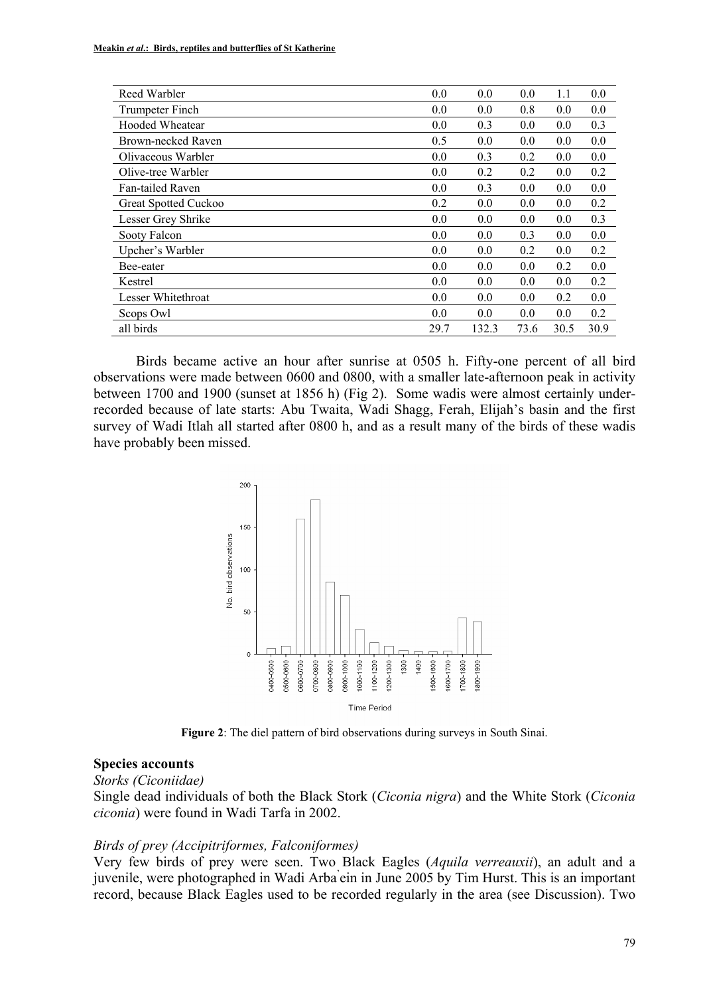| Reed Warbler         | 0.0  | 0.0   | 0.0  | 1.1  | 0.0  |
|----------------------|------|-------|------|------|------|
| Trumpeter Finch      | 0.0  | 0.0   | 0.8  | 0.0  | 0.0  |
| Hooded Wheatear      | 0.0  | 0.3   | 0.0  | 0.0  | 0.3  |
| Brown-necked Raven   | 0.5  | 0.0   | 0.0  | 0.0  | 0.0  |
| Olivaceous Warbler   | 0.0  | 0.3   | 0.2  | 0.0  | 0.0  |
| Olive-tree Warbler   | 0.0  | 0.2   | 0.2  | 0.0  | 0.2  |
| Fan-tailed Raven     | 0.0  | 0.3   | 0.0  | 0.0  | 0.0  |
| Great Spotted Cuckoo | 0.2  | 0.0   | 0.0  | 0.0  | 0.2  |
| Lesser Grey Shrike   | 0.0  | 0.0   | 0.0  | 0.0  | 0.3  |
| Sooty Falcon         | 0.0  | 0.0   | 0.3  | 0.0  | 0.0  |
| Upcher's Warbler     | 0.0  | 0.0   | 0.2  | 0.0  | 0.2  |
| Bee-eater            | 0.0  | 0.0   | 0.0  | 0.2  | 0.0  |
| Kestrel              | 0.0  | 0.0   | 0.0  | 0.0  | 0.2  |
| Lesser Whitethroat   | 0.0  | 0.0   | 0.0  | 0.2  | 0.0  |
| Scops Owl            | 0.0  | 0.0   | 0.0  | 0.0  | 0.2  |
| all birds            | 29.7 | 132.3 | 73.6 | 30.5 | 30.9 |

Birds became active an hour after sunrise at 0505 h. Fifty-one percent of all bird observations were made between 0600 and 0800, with a smaller late-afternoon peak in activity between 1700 and 1900 (sunset at 1856 h) (Fig 2). Some wadis were almost certainly underrecorded because of late starts: Abu Twaita, Wadi Shagg, Ferah, Elijah's basin and the first survey of Wadi Itlah all started after 0800 h, and as a result many of the birds of these wadis have probably been missed.



**Figure 2**: The diel pattern of bird observations during surveys in South Sinai.

#### **Species accounts**

*Storks (Ciconiidae)* 

Single dead individuals of both the Black Stork (*Ciconia nigra*) and the White Stork (*Ciconia ciconia*) were found in Wadi Tarfa in 2002.

#### *Birds of prey (Accipitriformes, Falconiformes)*

Very few birds of prey were seen. Two Black Eagles (*Aquila verreauxii*), an adult and a juvenile, were photographed in Wadi Arba' ein in June 2005 by Tim Hurst. This is an important record, because Black Eagles used to be recorded regularly in the area (see Discussion). Two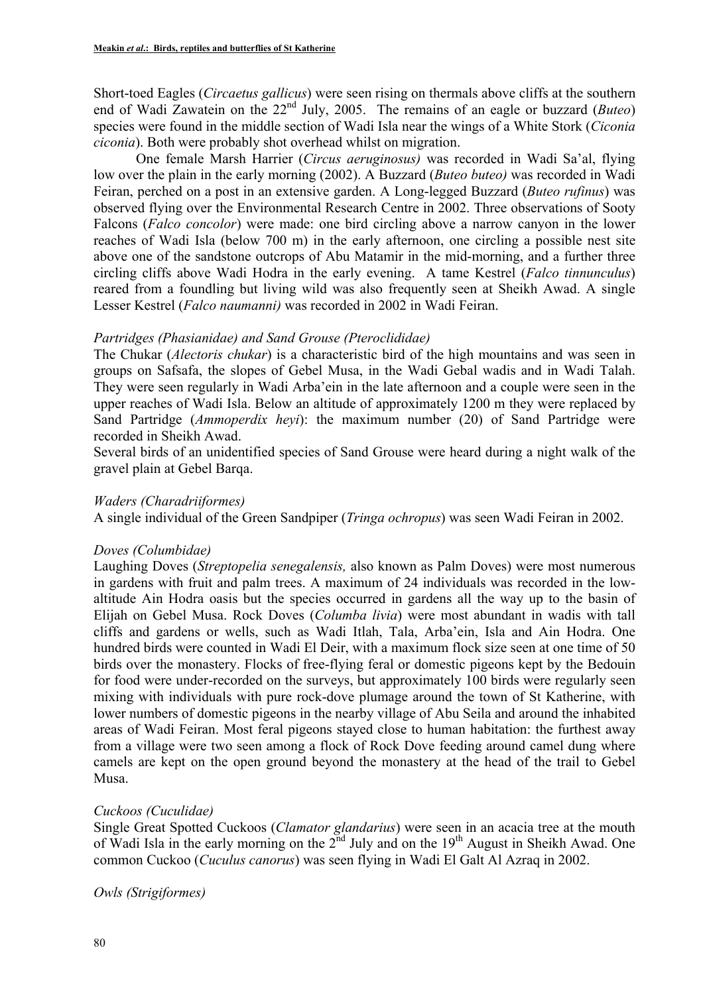Short-toed Eagles (*Circaetus gallicus*) were seen rising on thermals above cliffs at the southern end of Wadi Zawatein on the 22nd July, 2005. The remains of an eagle or buzzard (*Buteo*) species were found in the middle section of Wadi Isla near the wings of a White Stork (*Ciconia ciconia*). Both were probably shot overhead whilst on migration.

One female Marsh Harrier (*Circus aeruginosus)* was recorded in Wadi Sa'al, flying low over the plain in the early morning (2002). A Buzzard (*Buteo buteo)* was recorded in Wadi Feiran, perched on a post in an extensive garden. A Long-legged Buzzard (*Buteo rufinus*) was observed flying over the Environmental Research Centre in 2002. Three observations of Sooty Falcons (*Falco concolor*) were made: one bird circling above a narrow canyon in the lower reaches of Wadi Isla (below 700 m) in the early afternoon, one circling a possible nest site above one of the sandstone outcrops of Abu Matamir in the mid-morning, and a further three circling cliffs above Wadi Hodra in the early evening. A tame Kestrel (*Falco tinnunculus*) reared from a foundling but living wild was also frequently seen at Sheikh Awad. A single Lesser Kestrel (*Falco naumanni)* was recorded in 2002 in Wadi Feiran.

#### *Partridges (Phasianidae) and Sand Grouse (Pteroclididae)*

The Chukar (*Alectoris chukar*) is a characteristic bird of the high mountains and was seen in groups on Safsafa, the slopes of Gebel Musa, in the Wadi Gebal wadis and in Wadi Talah. They were seen regularly in Wadi Arba'ein in the late afternoon and a couple were seen in the upper reaches of Wadi Isla. Below an altitude of approximately 1200 m they were replaced by Sand Partridge (*Ammoperdix heyi*): the maximum number (20) of Sand Partridge were recorded in Sheikh Awad.

Several birds of an unidentified species of Sand Grouse were heard during a night walk of the gravel plain at Gebel Barqa.

### *Waders (Charadriiformes)*

A single individual of the Green Sandpiper (*Tringa ochropus*) was seen Wadi Feiran in 2002.

### *Doves (Columbidae)*

Laughing Doves (*Streptopelia senegalensis,* also known as Palm Doves) were most numerous in gardens with fruit and palm trees. A maximum of 24 individuals was recorded in the lowaltitude Ain Hodra oasis but the species occurred in gardens all the way up to the basin of Elijah on Gebel Musa. Rock Doves (*Columba livia*) were most abundant in wadis with tall cliffs and gardens or wells, such as Wadi Itlah, Tala, Arba'ein, Isla and Ain Hodra. One hundred birds were counted in Wadi El Deir, with a maximum flock size seen at one time of 50 birds over the monastery. Flocks of free-flying feral or domestic pigeons kept by the Bedouin for food were under-recorded on the surveys, but approximately 100 birds were regularly seen mixing with individuals with pure rock-dove plumage around the town of St Katherine, with lower numbers of domestic pigeons in the nearby village of Abu Seila and around the inhabited areas of Wadi Feiran. Most feral pigeons stayed close to human habitation: the furthest away from a village were two seen among a flock of Rock Dove feeding around camel dung where camels are kept on the open ground beyond the monastery at the head of the trail to Gebel Musa.

### *Cuckoos (Cuculidae)*

Single Great Spotted Cuckoos (*Clamator glandarius*) were seen in an acacia tree at the mouth of Wadi Isla in the early morning on the  $2^{nd}$  July and on the 19<sup>th</sup> August in Sheikh Awad. One common Cuckoo (*Cuculus canorus*) was seen flying in Wadi El Galt Al Azraq in 2002.

*Owls (Strigiformes)*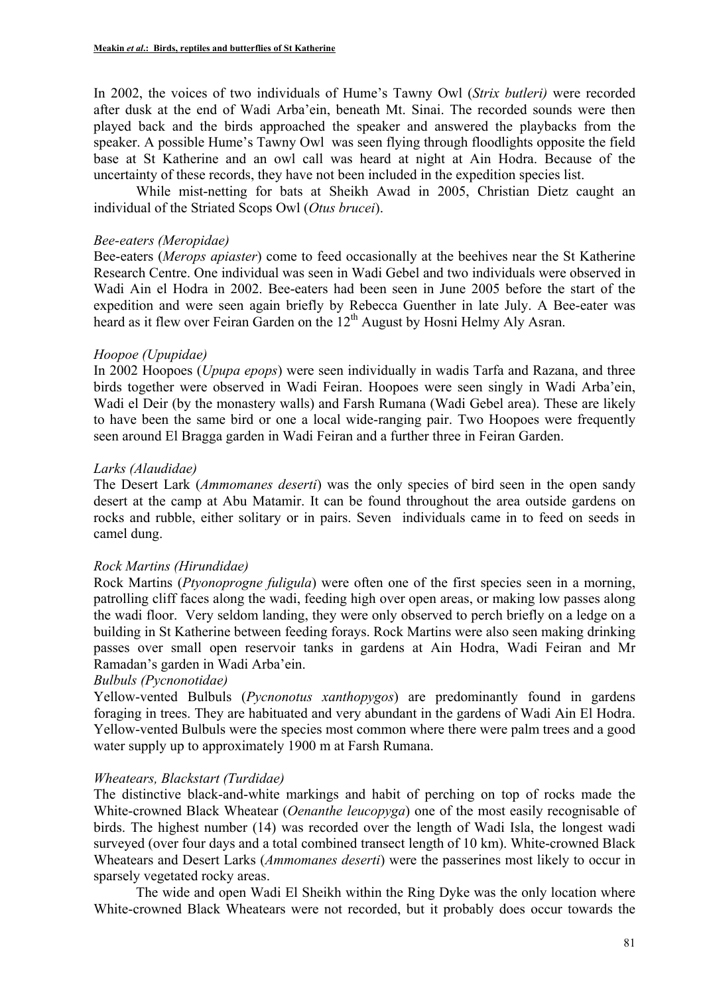In 2002, the voices of two individuals of Hume's Tawny Owl (*Strix butleri)* were recorded after dusk at the end of Wadi Arba'ein, beneath Mt. Sinai. The recorded sounds were then played back and the birds approached the speaker and answered the playbacks from the speaker. A possible Hume's Tawny Owl was seen flying through floodlights opposite the field base at St Katherine and an owl call was heard at night at Ain Hodra. Because of the uncertainty of these records, they have not been included in the expedition species list.

While mist-netting for bats at Sheikh Awad in 2005, Christian Dietz caught an individual of the Striated Scops Owl (*Otus brucei*).

### *Bee-eaters (Meropidae)*

Bee-eaters (*Merops apiaster*) come to feed occasionally at the beehives near the St Katherine Research Centre. One individual was seen in Wadi Gebel and two individuals were observed in Wadi Ain el Hodra in 2002. Bee-eaters had been seen in June 2005 before the start of the expedition and were seen again briefly by Rebecca Guenther in late July. A Bee-eater was heard as it flew over Feiran Garden on the  $12<sup>th</sup>$  August by Hosni Helmy Aly Asran.

## *Hoopoe (Upupidae)*

In 2002 Hoopoes (*Upupa epops*) were seen individually in wadis Tarfa and Razana, and three birds together were observed in Wadi Feiran. Hoopoes were seen singly in Wadi Arba'ein, Wadi el Deir (by the monastery walls) and Farsh Rumana (Wadi Gebel area). These are likely to have been the same bird or one a local wide-ranging pair. Two Hoopoes were frequently seen around El Bragga garden in Wadi Feiran and a further three in Feiran Garden.

## *Larks (Alaudidae)*

The Desert Lark (*Ammomanes deserti*) was the only species of bird seen in the open sandy desert at the camp at Abu Matamir. It can be found throughout the area outside gardens on rocks and rubble, either solitary or in pairs. Seven individuals came in to feed on seeds in camel dung.

### *Rock Martins (Hirundidae)*

Rock Martins (*Ptyonoprogne fuligula*) were often one of the first species seen in a morning, patrolling cliff faces along the wadi, feeding high over open areas, or making low passes along the wadi floor. Very seldom landing, they were only observed to perch briefly on a ledge on a building in St Katherine between feeding forays. Rock Martins were also seen making drinking passes over small open reservoir tanks in gardens at Ain Hodra, Wadi Feiran and Mr Ramadan's garden in Wadi Arba'ein.

# *Bulbuls (Pycnonotidae)*

Yellow-vented Bulbuls (*Pycnonotus xanthopygos*) are predominantly found in gardens foraging in trees. They are habituated and very abundant in the gardens of Wadi Ain El Hodra. Yellow-vented Bulbuls were the species most common where there were palm trees and a good water supply up to approximately 1900 m at Farsh Rumana.

# *Wheatears, Blackstart (Turdidae)*

The distinctive black-and-white markings and habit of perching on top of rocks made the White-crowned Black Wheatear (*Oenanthe leucopyga*) one of the most easily recognisable of birds. The highest number (14) was recorded over the length of Wadi Isla, the longest wadi surveyed (over four days and a total combined transect length of 10 km). White-crowned Black Wheatears and Desert Larks (*Ammomanes deserti*) were the passerines most likely to occur in sparsely vegetated rocky areas.

The wide and open Wadi El Sheikh within the Ring Dyke was the only location where White-crowned Black Wheatears were not recorded, but it probably does occur towards the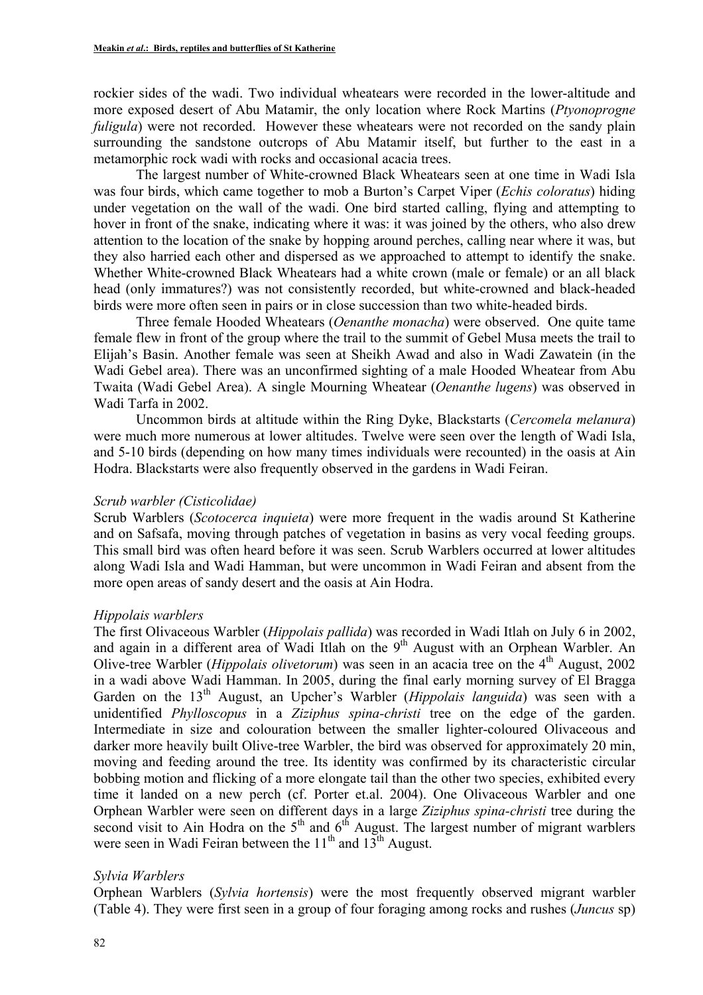rockier sides of the wadi. Two individual wheatears were recorded in the lower-altitude and more exposed desert of Abu Matamir, the only location where Rock Martins (*Ptyonoprogne fuligula*) were not recorded. However these wheatears were not recorded on the sandy plain surrounding the sandstone outcrops of Abu Matamir itself, but further to the east in a metamorphic rock wadi with rocks and occasional acacia trees.

The largest number of White-crowned Black Wheatears seen at one time in Wadi Isla was four birds, which came together to mob a Burton's Carpet Viper (*Echis coloratus*) hiding under vegetation on the wall of the wadi. One bird started calling, flying and attempting to hover in front of the snake, indicating where it was: it was joined by the others, who also drew attention to the location of the snake by hopping around perches, calling near where it was, but they also harried each other and dispersed as we approached to attempt to identify the snake. Whether White-crowned Black Wheatears had a white crown (male or female) or an all black head (only immatures?) was not consistently recorded, but white-crowned and black-headed birds were more often seen in pairs or in close succession than two white-headed birds.

Three female Hooded Wheatears (*Oenanthe monacha*) were observed. One quite tame female flew in front of the group where the trail to the summit of Gebel Musa meets the trail to Elijah's Basin. Another female was seen at Sheikh Awad and also in Wadi Zawatein (in the Wadi Gebel area). There was an unconfirmed sighting of a male Hooded Wheatear from Abu Twaita (Wadi Gebel Area). A single Mourning Wheatear (*Oenanthe lugens*) was observed in Wadi Tarfa in 2002.

Uncommon birds at altitude within the Ring Dyke, Blackstarts (*Cercomela melanura*) were much more numerous at lower altitudes. Twelve were seen over the length of Wadi Isla, and 5-10 birds (depending on how many times individuals were recounted) in the oasis at Ain Hodra. Blackstarts were also frequently observed in the gardens in Wadi Feiran.

#### *Scrub warbler (Cisticolidae)*

Scrub Warblers (*Scotocerca inquieta*) were more frequent in the wadis around St Katherine and on Safsafa, moving through patches of vegetation in basins as very vocal feeding groups. This small bird was often heard before it was seen. Scrub Warblers occurred at lower altitudes along Wadi Isla and Wadi Hamman, but were uncommon in Wadi Feiran and absent from the more open areas of sandy desert and the oasis at Ain Hodra.

### *Hippolais warblers*

The first Olivaceous Warbler (*Hippolais pallida*) was recorded in Wadi Itlah on July 6 in 2002, and again in a different area of Wadi Itlah on the  $9<sup>th</sup>$  August with an Orphean Warbler. An Olive-tree Warbler (*Hippolais olivetorum*) was seen in an acacia tree on the 4<sup>th</sup> August, 2002 in a wadi above Wadi Hamman. In 2005, during the final early morning survey of El Bragga Garden on the 13<sup>th</sup> August, an Upcher's Warbler (*Hippolais languida*) was seen with a unidentified *Phylloscopus* in a *Ziziphus spina-christi* tree on the edge of the garden. Intermediate in size and colouration between the smaller lighter-coloured Olivaceous and darker more heavily built Olive-tree Warbler, the bird was observed for approximately 20 min, moving and feeding around the tree. Its identity was confirmed by its characteristic circular bobbing motion and flicking of a more elongate tail than the other two species, exhibited every time it landed on a new perch (cf. Porter et.al. 2004). One Olivaceous Warbler and one Orphean Warbler were seen on different days in a large *Ziziphus spina-christi* tree during the second visit to Ain Hodra on the  $5<sup>th</sup>$  and  $6<sup>th</sup>$  August. The largest number of migrant warblers were seen in Wadi Feiran between the  $11<sup>th</sup>$  and  $13<sup>th</sup>$  August.

### *Sylvia Warblers*

Orphean Warblers (*Sylvia hortensis*) were the most frequently observed migrant warbler (Table 4). They were first seen in a group of four foraging among rocks and rushes (*Juncus* sp)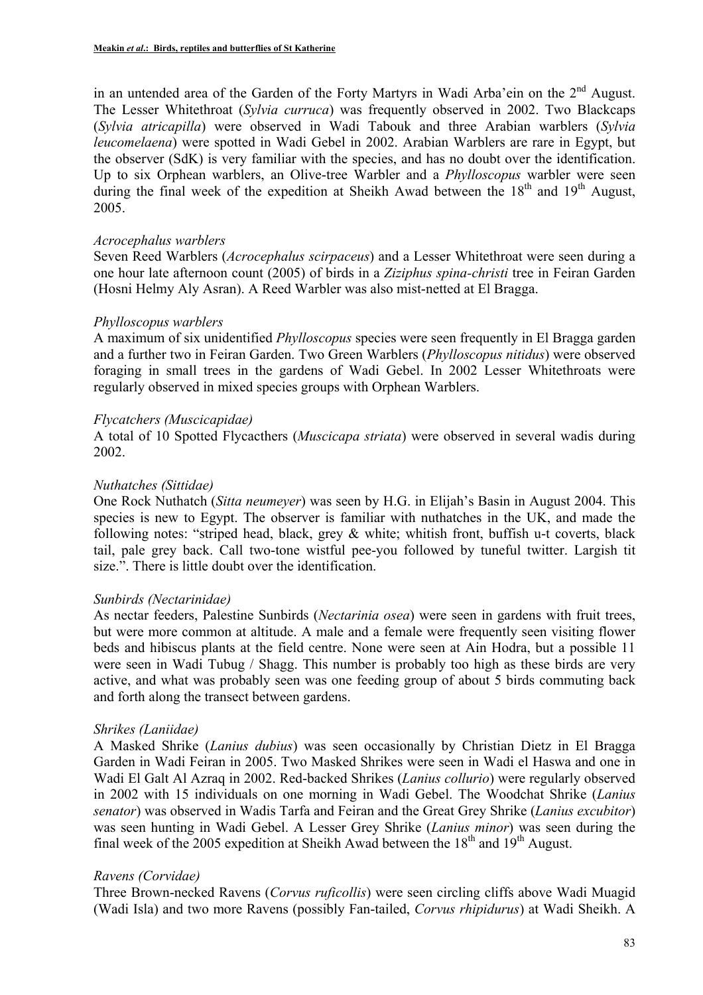in an untended area of the Garden of the Forty Martyrs in Wadi Arba'ein on the 2<sup>nd</sup> August. The Lesser Whitethroat (*Sylvia curruca*) was frequently observed in 2002. Two Blackcaps (*Sylvia atricapilla*) were observed in Wadi Tabouk and three Arabian warblers (*Sylvia leucomelaena*) were spotted in Wadi Gebel in 2002. Arabian Warblers are rare in Egypt, but the observer (SdK) is very familiar with the species, and has no doubt over the identification. Up to six Orphean warblers, an Olive-tree Warbler and a *Phylloscopus* warbler were seen during the final week of the expedition at Sheikh Awad between the  $18<sup>th</sup>$  and  $19<sup>th</sup>$  August, 2005.

### *Acrocephalus warblers*

Seven Reed Warblers (*Acrocephalus scirpaceus*) and a Lesser Whitethroat were seen during a one hour late afternoon count (2005) of birds in a *Ziziphus spina-christi* tree in Feiran Garden (Hosni Helmy Aly Asran). A Reed Warbler was also mist-netted at El Bragga.

## *Phylloscopus warblers*

A maximum of six unidentified *Phylloscopus* species were seen frequently in El Bragga garden and a further two in Feiran Garden. Two Green Warblers (*Phylloscopus nitidus*) were observed foraging in small trees in the gardens of Wadi Gebel. In 2002 Lesser Whitethroats were regularly observed in mixed species groups with Orphean Warblers.

## *Flycatchers (Muscicapidae)*

A total of 10 Spotted Flycacthers (*Muscicapa striata*) were observed in several wadis during 2002.

## *Nuthatches (Sittidae)*

One Rock Nuthatch (*Sitta neumeyer*) was seen by H.G. in Elijah's Basin in August 2004. This species is new to Egypt. The observer is familiar with nuthatches in the UK, and made the following notes: "striped head, black, grey & white; whitish front, buffish u-t coverts, black tail, pale grey back. Call two-tone wistful pee-you followed by tuneful twitter. Largish tit size.". There is little doubt over the identification.

# *Sunbirds (Nectarinidae)*

As nectar feeders, Palestine Sunbirds (*Nectarinia osea*) were seen in gardens with fruit trees, but were more common at altitude. A male and a female were frequently seen visiting flower beds and hibiscus plants at the field centre. None were seen at Ain Hodra, but a possible 11 were seen in Wadi Tubug / Shagg. This number is probably too high as these birds are very active, and what was probably seen was one feeding group of about 5 birds commuting back and forth along the transect between gardens.

### *Shrikes (Laniidae)*

A Masked Shrike (*Lanius dubius*) was seen occasionally by Christian Dietz in El Bragga Garden in Wadi Feiran in 2005. Two Masked Shrikes were seen in Wadi el Haswa and one in Wadi El Galt Al Azraq in 2002. Red-backed Shrikes (*Lanius collurio*) were regularly observed in 2002 with 15 individuals on one morning in Wadi Gebel. The Woodchat Shrike (*Lanius senator*) was observed in Wadis Tarfa and Feiran and the Great Grey Shrike (*Lanius excubitor*) was seen hunting in Wadi Gebel. A Lesser Grey Shrike (*Lanius minor*) was seen during the final week of the 2005 expedition at Sheikh Awad between the  $18<sup>th</sup>$  and  $19<sup>th</sup>$  August.

### *Ravens (Corvidae)*

Three Brown-necked Ravens (*Corvus ruficollis*) were seen circling cliffs above Wadi Muagid (Wadi Isla) and two more Ravens (possibly Fan-tailed, *Corvus rhipidurus*) at Wadi Sheikh. A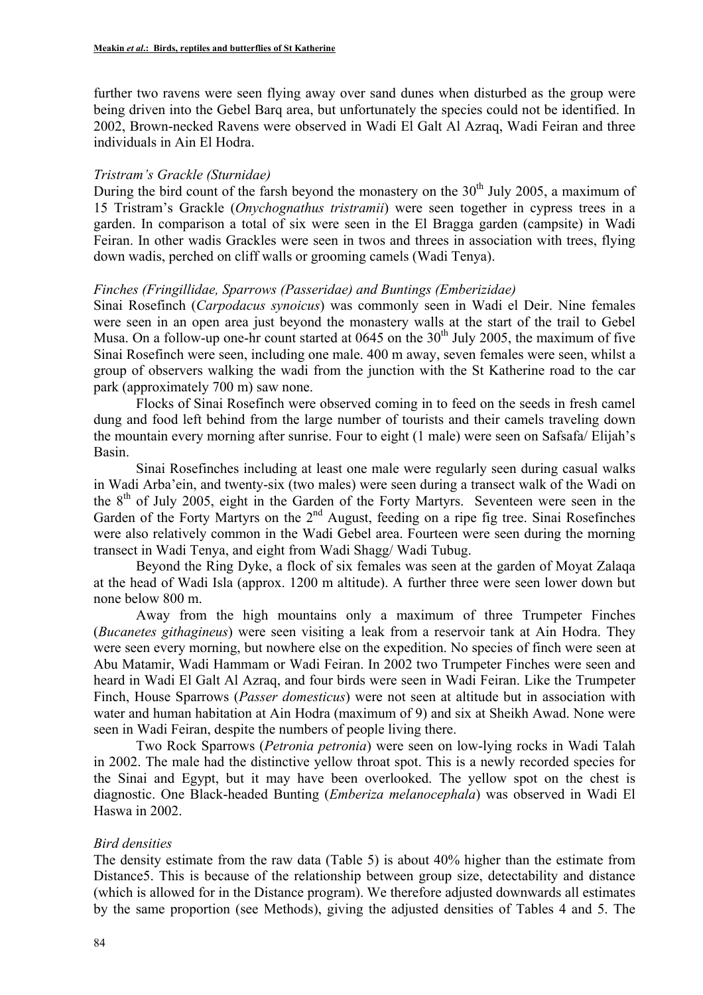further two ravens were seen flying away over sand dunes when disturbed as the group were being driven into the Gebel Barq area, but unfortunately the species could not be identified. In 2002, Brown-necked Ravens were observed in Wadi El Galt Al Azraq, Wadi Feiran and three individuals in Ain El Hodra.

#### *Tristram's Grackle (Sturnidae)*

During the bird count of the farsh beyond the monastery on the  $30<sup>th</sup>$  July 2005, a maximum of 15 Tristram's Grackle (*Onychognathus tristramii*) were seen together in cypress trees in a garden. In comparison a total of six were seen in the El Bragga garden (campsite) in Wadi Feiran. In other wadis Grackles were seen in twos and threes in association with trees, flying down wadis, perched on cliff walls or grooming camels (Wadi Tenya).

#### *Finches (Fringillidae, Sparrows (Passeridae) and Buntings (Emberizidae)*

Sinai Rosefinch (*Carpodacus synoicus*) was commonly seen in Wadi el Deir. Nine females were seen in an open area just beyond the monastery walls at the start of the trail to Gebel Musa. On a follow-up one-hr count started at 0645 on the  $30<sup>th</sup>$  July 2005, the maximum of five Sinai Rosefinch were seen, including one male. 400 m away, seven females were seen, whilst a group of observers walking the wadi from the junction with the St Katherine road to the car park (approximately 700 m) saw none.

Flocks of Sinai Rosefinch were observed coming in to feed on the seeds in fresh camel dung and food left behind from the large number of tourists and their camels traveling down the mountain every morning after sunrise. Four to eight (1 male) were seen on Safsafa/ Elijah's Basin.

Sinai Rosefinches including at least one male were regularly seen during casual walks in Wadi Arba'ein, and twenty-six (two males) were seen during a transect walk of the Wadi on the  $8<sup>th</sup>$  of July 2005, eight in the Garden of the Forty Martyrs. Seventeen were seen in the Garden of the Forty Martyrs on the 2<sup>nd</sup> August, feeding on a ripe fig tree. Sinai Rosefinches were also relatively common in the Wadi Gebel area. Fourteen were seen during the morning transect in Wadi Tenya, and eight from Wadi Shagg/ Wadi Tubug.

Beyond the Ring Dyke, a flock of six females was seen at the garden of Moyat Zalaqa at the head of Wadi Isla (approx. 1200 m altitude). A further three were seen lower down but none below 800 m.

Away from the high mountains only a maximum of three Trumpeter Finches (*Bucanetes githagineus*) were seen visiting a leak from a reservoir tank at Ain Hodra. They were seen every morning, but nowhere else on the expedition. No species of finch were seen at Abu Matamir, Wadi Hammam or Wadi Feiran. In 2002 two Trumpeter Finches were seen and heard in Wadi El Galt Al Azraq, and four birds were seen in Wadi Feiran. Like the Trumpeter Finch, House Sparrows (*Passer domesticus*) were not seen at altitude but in association with water and human habitation at Ain Hodra (maximum of 9) and six at Sheikh Awad. None were seen in Wadi Feiran, despite the numbers of people living there.

Two Rock Sparrows (*Petronia petronia*) were seen on low-lying rocks in Wadi Talah in 2002. The male had the distinctive yellow throat spot. This is a newly recorded species for the Sinai and Egypt, but it may have been overlooked. The yellow spot on the chest is diagnostic. One Black-headed Bunting (*Emberiza melanocephala*) was observed in Wadi El Haswa in 2002.

### *Bird densities*

The density estimate from the raw data (Table 5) is about 40% higher than the estimate from Distance5. This is because of the relationship between group size, detectability and distance (which is allowed for in the Distance program). We therefore adjusted downwards all estimates by the same proportion (see Methods), giving the adjusted densities of Tables 4 and 5. The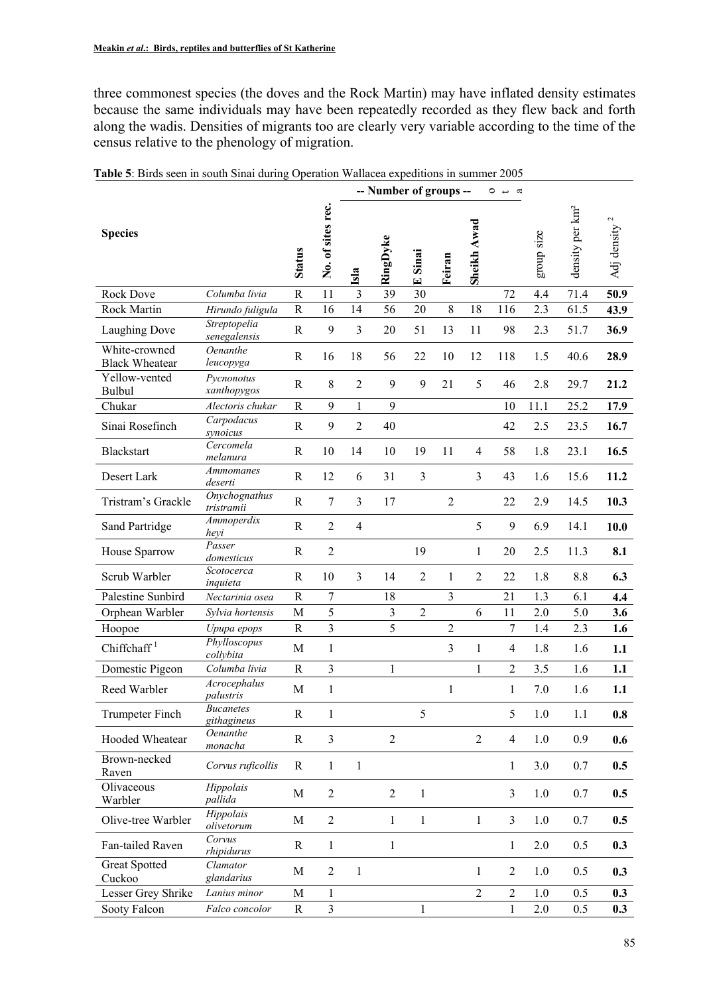three commonest species (the doves and the Rock Martin) may have inflated density estimates because the same individuals may have been repeatedly recorded as they flew back and forth along the wadis. Densities of migrants too are clearly very variable according to the time of the census relative to the phenology of migration.

|                                        |                                 |               |                         |                         | -- Number of groups -- |                         |                |                | $\circ$ $\overline{\phantom{0}}$<br>$\alpha$ |            |                             |                  |
|----------------------------------------|---------------------------------|---------------|-------------------------|-------------------------|------------------------|-------------------------|----------------|----------------|----------------------------------------------|------------|-----------------------------|------------------|
| <b>Species</b>                         |                                 | <b>Status</b> | No. of sites rec.       | Isla                    | RingDyke               | Sinai<br>$\blacksquare$ | Feiran         | Sheikh Awad    |                                              | group size | density per km <sup>2</sup> | 2<br>Adj density |
| <b>Rock Dove</b>                       | Columba livia                   | $\mathbf R$   | 11                      | $\overline{\mathbf{3}}$ | 39                     | 30                      |                |                | 72                                           | 4.4        | 71.4                        | 50.9             |
| <b>Rock Martin</b>                     | Hirundo fuligula                | $\mathbb{R}$  | 16                      | 14                      | 56                     | 20                      | 8              | 18             | 116                                          | 2.3        | 61.5                        | 43.9             |
| Laughing Dove                          | Streptopelia<br>senegalensis    | ${\bf R}$     | 9                       | 3                       | 20                     | 51                      | 13             | 11             | 98                                           | 2.3        | 51.7                        | 36.9             |
| White-crowned<br><b>Black Wheatear</b> | Oenanthe<br>leucopyga           | R             | 16                      | 18                      | 56                     | 22                      | 10             | 12             | 118                                          | 1.5        | 40.6                        | 28.9             |
| Yellow-vented<br>Bulbul                | Pycnonotus<br>xanthopygos       | R             | 8                       | $\overline{2}$          | 9                      | 9                       | 21             | 5              | 46                                           | 2.8        | 29.7                        | 21.2             |
| Chukar                                 | Alectoris chukar                | $\mathbf R$   | 9                       | 1                       | 9                      |                         |                |                | 10                                           | 11.1       | 25.2                        | 17.9             |
| Sinai Rosefinch                        | Carpodacus<br>synoicus          | $\mathbb{R}$  | 9                       | $\overline{2}$          | 40                     |                         |                |                | 42                                           | 2.5        | 23.5                        | 16.7             |
| <b>Blackstart</b>                      | Cercomela<br>melanura           | $\mathbb{R}$  | 10                      | 14                      | 10                     | 19                      | 11             | $\overline{4}$ | 58                                           | 1.8        | 23.1                        | 16.5             |
| Desert Lark                            | Ammomanes<br>deserti            | ${\bf R}$     | 12                      | 6                       | 31                     | 3                       |                | $\overline{3}$ | 43                                           | 1.6        | 15.6                        | 11.2             |
| Tristram's Grackle                     | Onychognathus<br>tristramii     | ${\bf R}$     | $\overline{7}$          | 3                       | 17                     |                         | $\overline{2}$ |                | 22                                           | 2.9        | 14.5                        | 10.3             |
| Sand Partridge                         | Ammoperdix<br>heyi              | $\mathbf R$   | $\overline{2}$          | $\overline{4}$          |                        |                         |                | 5              | 9                                            | 6.9        | 14.1                        | 10.0             |
| House Sparrow                          | Passer<br>domesticus            | $\mathbb{R}$  | $\overline{2}$          |                         |                        | 19                      |                | $\mathbf{1}$   | 20                                           | 2.5        | 11.3                        | 8.1              |
| Scrub Warbler                          | Scotocerca<br>inquieta          | $\mathbb{R}$  | 10                      | 3                       | 14                     | $\overline{2}$          | 1              | $\overline{2}$ | 22                                           | 1.8        | 8.8                         | 6.3              |
| Palestine Sunbird                      | Nectarinia osea                 | $\mathbf R$   | $\sqrt{ }$              |                         | 18                     |                         | 3              |                | 21                                           | 1.3        | 6.1                         | 4.4              |
| Orphean Warbler                        | Sylvia hortensis                | M             | 5                       |                         | $\overline{3}$         | $\overline{c}$          |                | 6              | 11                                           | 2.0        | 5.0                         | 3.6              |
| Hoopoe                                 | Upupa epops                     | $\mathbb{R}$  | $\overline{3}$          |                         | 5                      |                         | $\overline{2}$ |                | 7                                            | 1.4        | 2.3                         | 1.6              |
| Chiffchaff <sup>1</sup>                | Phylloscopus<br>collybita       | M             | $\mathbf{1}$            |                         |                        |                         | 3              | 1              | 4                                            | 1.8        | 1.6                         | 1.1              |
| Domestic Pigeon                        | Columba livia                   | $\mathbf R$   | $\overline{\mathbf{3}}$ |                         | $\mathbf{1}$           |                         |                | 1              | $\overline{c}$                               | 3.5        | 1.6                         | 1.1              |
| Reed Warbler                           | Acrocephalus<br>palustris       | M             | $\,1\,$                 |                         |                        |                         | $\mathbf{1}$   |                | $\mathbf{1}$                                 | 7.0        | 1.6                         | 1.1              |
| <b>Trumpeter Finch</b>                 | <b>Bucanetes</b><br>githagineus | ${\bf R}$     | $\mathbf{1}$            |                         |                        | 5                       |                |                | 5                                            | $1.0\,$    | 1.1                         | 0.8              |
| Hooded Wheatear                        | <b>Oenanthe</b><br>monacha      | ${\bf R}$     | $\overline{\mathbf{3}}$ |                         | $\overline{2}$         |                         |                | $\overline{2}$ | $\overline{4}$                               | 1.0        | 0.9                         | 0.6              |
| Brown-necked<br>Raven                  | Corvus ruficollis               | $\mathbf R$   | $\mathbf{1}$            | $\mathbf{1}$            |                        |                         |                |                | $\mathbf{1}$                                 | 3.0        | 0.7                         | 0.5              |
| Olivaceous<br>Warbler                  | Hippolais<br>pallida            | $\mathbf M$   | $\sqrt{2}$              |                         | $\overline{2}$         | 1                       |                |                | $\overline{3}$                               | 1.0        | 0.7                         | 0.5              |
| Olive-tree Warbler                     | Hippolais<br>olivetorum         | M             | $\sqrt{2}$              |                         | $\mathbf{1}$           | 1                       |                | $\mathbf{1}$   | 3                                            | 1.0        | 0.7                         | 0.5              |
| Fan-tailed Raven                       | Corvus<br>rhipidurus            | $\mathbf R$   | $\mathbf{1}$            |                         | $\mathbf{1}$           |                         |                |                | $\mathbf{1}$                                 | 2.0        | 0.5                         | 0.3              |
| <b>Great Spotted</b><br>Cuckoo         | Clamator<br>glandarius          | M             | $\overline{2}$          | 1                       |                        |                         |                | $\mathbf{1}$   | $\overline{2}$                               | 1.0        | 0.5                         | 0.3              |
| Lesser Grey Shrike                     | Lanius minor                    | M             | $\mathbf{1}$            |                         |                        |                         |                | $\overline{2}$ | $\overline{2}$                               | 1.0        | 0.5                         | 0.3              |
| Sooty Falcon                           | Falco concolor                  | $\mathbf R$   | $\mathfrak{Z}$          |                         |                        | $\mathbf{1}$            |                |                | $\,1$                                        | $2.0$      | 0.5                         | 0.3              |

**Table 5**: Birds seen in south Sinai during Operation Wallacea expeditions in summer 2005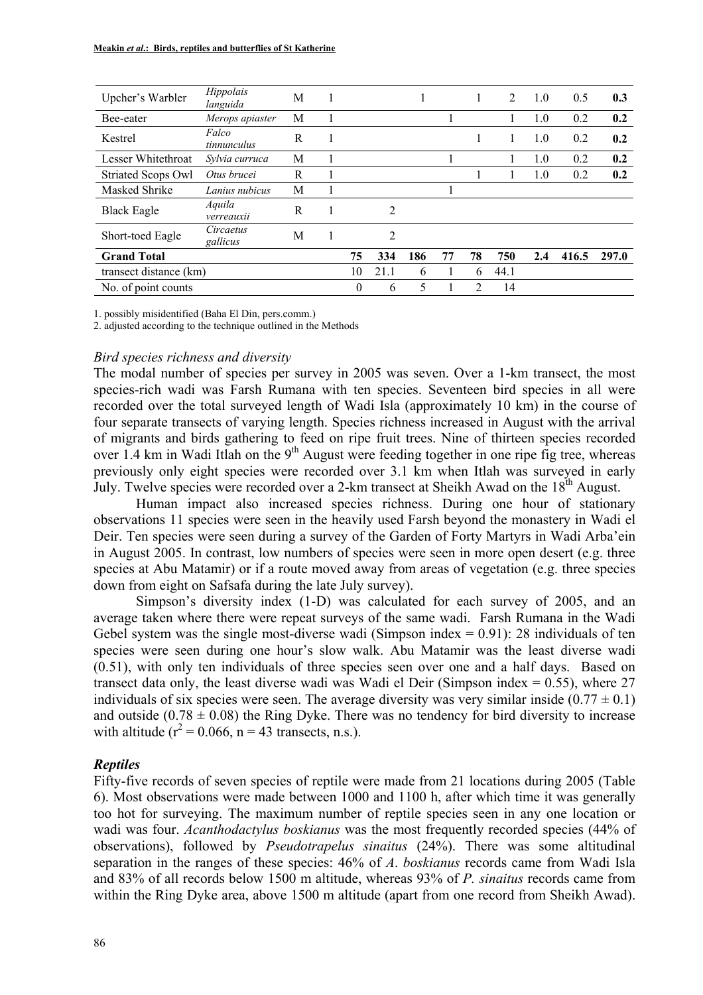| Upcher's Warbler       | Hippolais<br>languida | M |          |                |     |    | 1  | $\overline{2}$ | 1.0 | 0.5   | 0.3   |
|------------------------|-----------------------|---|----------|----------------|-----|----|----|----------------|-----|-------|-------|
| Bee-eater              | Merops apiaster       | М |          |                |     |    |    |                | 1.0 | 0.2   | 0.2   |
| Kestrel                | Falco<br>tinnunculus  | R |          |                |     |    |    |                | 1.0 | 0.2   | 0.2   |
| Lesser Whitethroat     | Sylvia curruca        | M |          |                |     |    |    |                | 1.0 | 0.2   | 0.2   |
| Striated Scops Owl     | Otus brucei           | R |          |                |     |    |    |                | 1.0 | 0.2   | 0.2   |
| Masked Shrike          | Lanius nubicus        | М |          |                |     |    |    |                |     |       |       |
| <b>Black Eagle</b>     | Aquila<br>verreauxii  | R |          | $\overline{c}$ |     |    |    |                |     |       |       |
| Short-toed Eagle       | Circaetus<br>gallicus | M |          | 2              |     |    |    |                |     |       |       |
| <b>Grand Total</b>     |                       |   | 75       | 334            | 186 | 77 | 78 | 750            | 2.4 | 416.5 | 297.0 |
| transect distance (km) |                       |   | 10       | 21.1           | 6   |    | 6  | 44.1           |     |       |       |
| No. of point counts    |                       |   | $\theta$ | 6              | 5   |    | 2  | 14             |     |       |       |

1. possibly misidentified (Baha El Din, pers.comm.)

2. adjusted according to the technique outlined in the Methods

#### *Bird species richness and diversity*

The modal number of species per survey in 2005 was seven. Over a 1-km transect, the most species-rich wadi was Farsh Rumana with ten species. Seventeen bird species in all were recorded over the total surveyed length of Wadi Isla (approximately 10 km) in the course of four separate transects of varying length. Species richness increased in August with the arrival of migrants and birds gathering to feed on ripe fruit trees. Nine of thirteen species recorded over 1.4 km in Wadi Itlah on the 9<sup>th</sup> August were feeding together in one ripe fig tree, whereas previously only eight species were recorded over 3.1 km when Itlah was surveyed in early July. Twelve species were recorded over a 2-km transect at Sheikh Awad on the 18<sup>th</sup> August.

Human impact also increased species richness. During one hour of stationary observations 11 species were seen in the heavily used Farsh beyond the monastery in Wadi el Deir. Ten species were seen during a survey of the Garden of Forty Martyrs in Wadi Arba'ein in August 2005. In contrast, low numbers of species were seen in more open desert (e.g. three species at Abu Matamir) or if a route moved away from areas of vegetation (e.g. three species down from eight on Safsafa during the late July survey).

Simpson's diversity index (1-D) was calculated for each survey of 2005, and an average taken where there were repeat surveys of the same wadi. Farsh Rumana in the Wadi Gebel system was the single most-diverse wadi (Simpson index  $= 0.91$ ): 28 individuals of ten species were seen during one hour's slow walk. Abu Matamir was the least diverse wadi (0.51), with only ten individuals of three species seen over one and a half days. Based on transect data only, the least diverse wadi was Wadi el Deir (Simpson index  $= 0.55$ ), where 27 individuals of six species were seen. The average diversity was very similar inside  $(0.77 \pm 0.1)$ and outside ( $0.78 \pm 0.08$ ) the Ring Dyke. There was no tendency for bird diversity to increase with altitude  $(r^2 = 0.066, n = 43$  transects, n.s.).

### *Reptiles*

Fifty-five records of seven species of reptile were made from 21 locations during 2005 (Table 6). Most observations were made between 1000 and 1100 h, after which time it was generally too hot for surveying. The maximum number of reptile species seen in any one location or wadi was four. *Acanthodactylus boskianus* was the most frequently recorded species (44% of observations), followed by *Pseudotrapelus sinaitus* (24%). There was some altitudinal separation in the ranges of these species: 46% of *A*. *boskianus* records came from Wadi Isla and 83% of all records below 1500 m altitude, whereas 93% of *P. sinaitus* records came from within the Ring Dyke area, above 1500 m altitude (apart from one record from Sheikh Awad).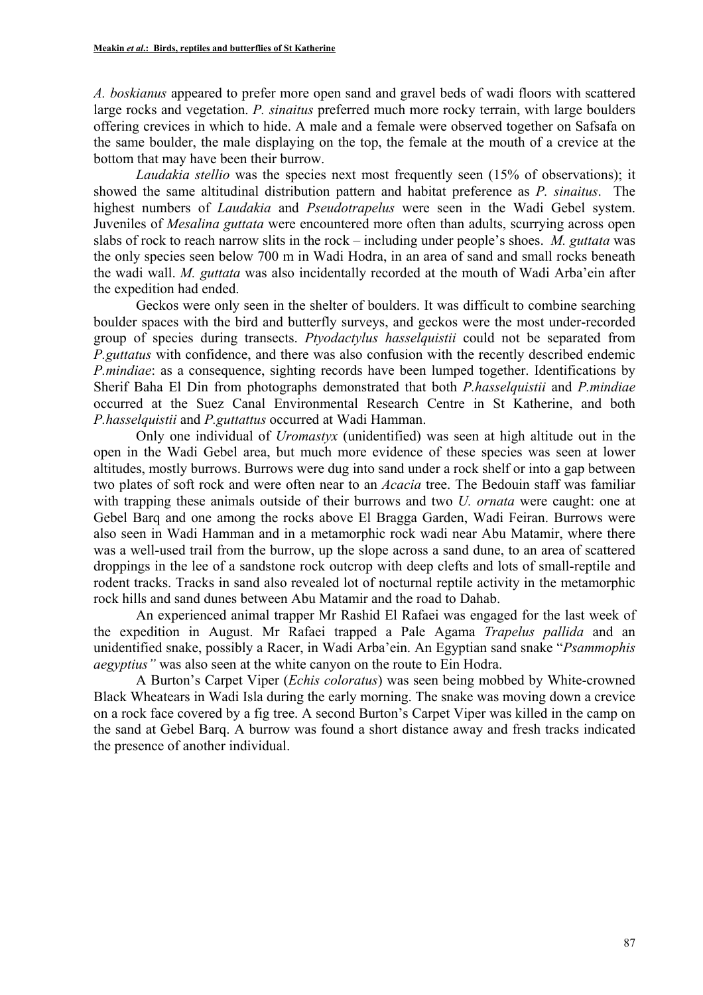*A. boskianus* appeared to prefer more open sand and gravel beds of wadi floors with scattered large rocks and vegetation. *P. sinaitus* preferred much more rocky terrain, with large boulders offering crevices in which to hide. A male and a female were observed together on Safsafa on the same boulder, the male displaying on the top, the female at the mouth of a crevice at the bottom that may have been their burrow.

*Laudakia stellio* was the species next most frequently seen (15% of observations); it showed the same altitudinal distribution pattern and habitat preference as *P. sinaitus*. The highest numbers of *Laudakia* and *Pseudotrapelus* were seen in the Wadi Gebel system. Juveniles of *Mesalina guttata* were encountered more often than adults, scurrying across open slabs of rock to reach narrow slits in the rock – including under people's shoes. *M. guttata* was the only species seen below 700 m in Wadi Hodra, in an area of sand and small rocks beneath the wadi wall. *M. guttata* was also incidentally recorded at the mouth of Wadi Arba'ein after the expedition had ended.

Geckos were only seen in the shelter of boulders. It was difficult to combine searching boulder spaces with the bird and butterfly surveys, and geckos were the most under-recorded group of species during transects. *Ptyodactylus hasselquistii* could not be separated from *P.guttatus* with confidence, and there was also confusion with the recently described endemic *P.mindiae*: as a consequence, sighting records have been lumped together. Identifications by Sherif Baha El Din from photographs demonstrated that both *P.hasselquistii* and *P.mindiae* occurred at the Suez Canal Environmental Research Centre in St Katherine, and both *P.hasselquistii* and *P.guttattus* occurred at Wadi Hamman.

Only one individual of *Uromastyx* (unidentified) was seen at high altitude out in the open in the Wadi Gebel area, but much more evidence of these species was seen at lower altitudes, mostly burrows. Burrows were dug into sand under a rock shelf or into a gap between two plates of soft rock and were often near to an *Acacia* tree. The Bedouin staff was familiar with trapping these animals outside of their burrows and two *U. ornata* were caught: one at Gebel Barq and one among the rocks above El Bragga Garden, Wadi Feiran. Burrows were also seen in Wadi Hamman and in a metamorphic rock wadi near Abu Matamir, where there was a well-used trail from the burrow, up the slope across a sand dune, to an area of scattered droppings in the lee of a sandstone rock outcrop with deep clefts and lots of small-reptile and rodent tracks. Tracks in sand also revealed lot of nocturnal reptile activity in the metamorphic rock hills and sand dunes between Abu Matamir and the road to Dahab.

An experienced animal trapper Mr Rashid El Rafaei was engaged for the last week of the expedition in August. Mr Rafaei trapped a Pale Agama *Trapelus pallida* and an unidentified snake, possibly a Racer, in Wadi Arba'ein. An Egyptian sand snake "*Psammophis aegyptius"* was also seen at the white canyon on the route to Ein Hodra.

A Burton's Carpet Viper (*Echis coloratus*) was seen being mobbed by White-crowned Black Wheatears in Wadi Isla during the early morning. The snake was moving down a crevice on a rock face covered by a fig tree. A second Burton's Carpet Viper was killed in the camp on the sand at Gebel Barq. A burrow was found a short distance away and fresh tracks indicated the presence of another individual.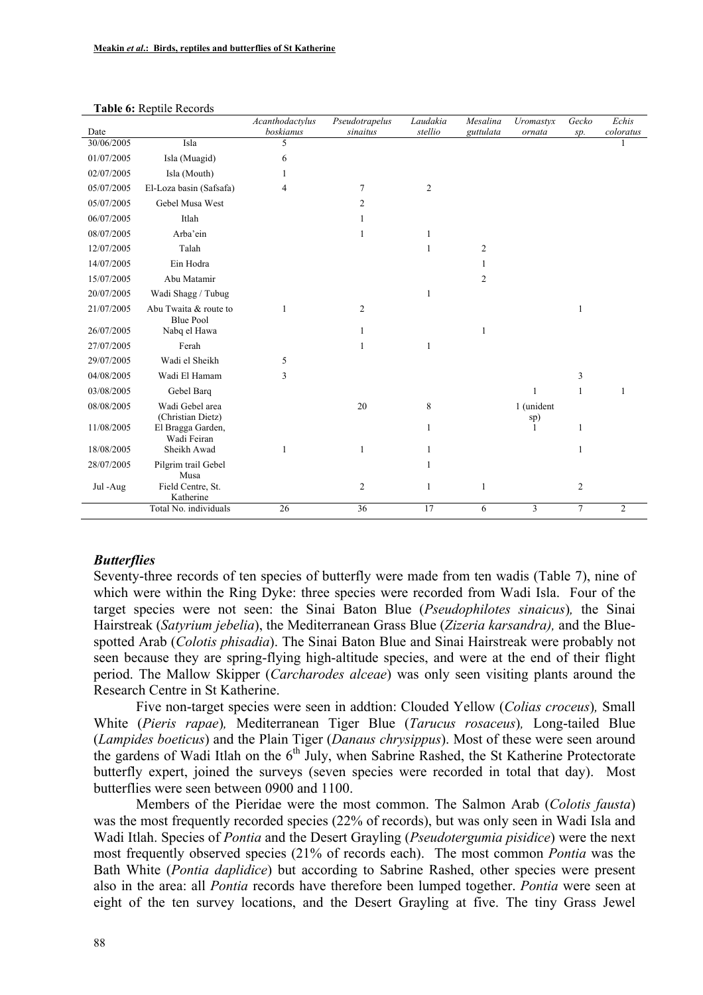|            |                                           | Acanthodactylus | Pseudotrapelus | Laudakia       | Mesalina       | Uromastyx         | Gecko          | Echis          |
|------------|-------------------------------------------|-----------------|----------------|----------------|----------------|-------------------|----------------|----------------|
| Date       | Isla                                      | boskianus       | sinaitus       | stellio        | guttulata      | ornata            | sp.            | coloratus      |
| 30/06/2005 |                                           | 5               |                |                |                |                   |                |                |
| 01/07/2005 | Isla (Muagid)                             | 6               |                |                |                |                   |                |                |
| 02/07/2005 | Isla (Mouth)                              | 1               |                |                |                |                   |                |                |
| 05/07/2005 | El-Loza basin (Safsafa)                   | 4               | 7              | $\overline{c}$ |                |                   |                |                |
| 05/07/2005 | Gebel Musa West                           |                 | 2              |                |                |                   |                |                |
| 06/07/2005 | Itlah                                     |                 |                |                |                |                   |                |                |
| 08/07/2005 | Arba'ein                                  |                 | 1              | 1              |                |                   |                |                |
| 12/07/2005 | Talah                                     |                 |                | 1              | $\overline{2}$ |                   |                |                |
| 14/07/2005 | Ein Hodra                                 |                 |                |                | 1              |                   |                |                |
| 15/07/2005 | Abu Matamir                               |                 |                |                | $\overline{c}$ |                   |                |                |
| 20/07/2005 | Wadi Shagg / Tubug                        |                 |                | 1              |                |                   |                |                |
| 21/07/2005 | Abu Twaita & route to<br><b>Blue Pool</b> | 1               | $\overline{2}$ |                |                |                   | 1              |                |
| 26/07/2005 | Nabq el Hawa                              |                 | 1              |                | 1              |                   |                |                |
| 27/07/2005 | Ferah                                     |                 |                | 1              |                |                   |                |                |
| 29/07/2005 | Wadi el Sheikh                            | 5               |                |                |                |                   |                |                |
| 04/08/2005 | Wadi El Hamam                             | 3               |                |                |                |                   | 3              |                |
| 03/08/2005 | Gebel Barq                                |                 |                |                |                | 1                 | 1              |                |
| 08/08/2005 | Wadi Gebel area<br>(Christian Dietz)      |                 | 20             | 8              |                | 1 (unident<br>sp) |                |                |
| 11/08/2005 | El Bragga Garden,<br>Wadi Feiran          |                 |                | 1              |                | ı                 | 1              |                |
| 18/08/2005 | Sheikh Awad                               | 1               | 1              | 1              |                |                   | 1              |                |
| 28/07/2005 | Pilgrim trail Gebel<br>Musa               |                 |                |                |                |                   |                |                |
| Jul -Aug   | Field Centre, St.<br>Katherine            |                 | 2              | 1              | 1              |                   | 2              |                |
|            | Total No. individuals                     | 26              | 36             | 17             | 6              | 3                 | $\overline{7}$ | $\overline{2}$ |

#### **Table 6:** Reptile Records

#### *Butterflies*

Seventy-three records of ten species of butterfly were made from ten wadis (Table 7), nine of which were within the Ring Dyke: three species were recorded from Wadi Isla. Four of the target species were not seen: the Sinai Baton Blue (*Pseudophilotes sinaicus*)*,* the Sinai Hairstreak (*Satyrium jebelia*), the Mediterranean Grass Blue (*Zizeria karsandra),* and the Bluespotted Arab (*Colotis phisadia*). The Sinai Baton Blue and Sinai Hairstreak were probably not seen because they are spring-flying high-altitude species, and were at the end of their flight period. The Mallow Skipper (*Carcharodes alceae*) was only seen visiting plants around the Research Centre in St Katherine.

Five non-target species were seen in addtion: Clouded Yellow (*Colias croceus*)*,* Small White (*Pieris rapae*)*,* Mediterranean Tiger Blue (*Tarucus rosaceus*)*,* Long-tailed Blue (*Lampides boeticus*) and the Plain Tiger (*Danaus chrysippus*). Most of these were seen around the gardens of Wadi Itlah on the  $6<sup>th</sup>$  July, when Sabrine Rashed, the St Katherine Protectorate butterfly expert, joined the surveys (seven species were recorded in total that day). Most butterflies were seen between 0900 and 1100.

Members of the Pieridae were the most common. The Salmon Arab (*Colotis fausta*) was the most frequently recorded species (22% of records), but was only seen in Wadi Isla and Wadi Itlah. Species of *Pontia* and the Desert Grayling (*Pseudotergumia pisidice*) were the next most frequently observed species (21% of records each). The most common *Pontia* was the Bath White (*Pontia daplidice*) but according to Sabrine Rashed, other species were present also in the area: all *Pontia* records have therefore been lumped together. *Pontia* were seen at eight of the ten survey locations, and the Desert Grayling at five. The tiny Grass Jewel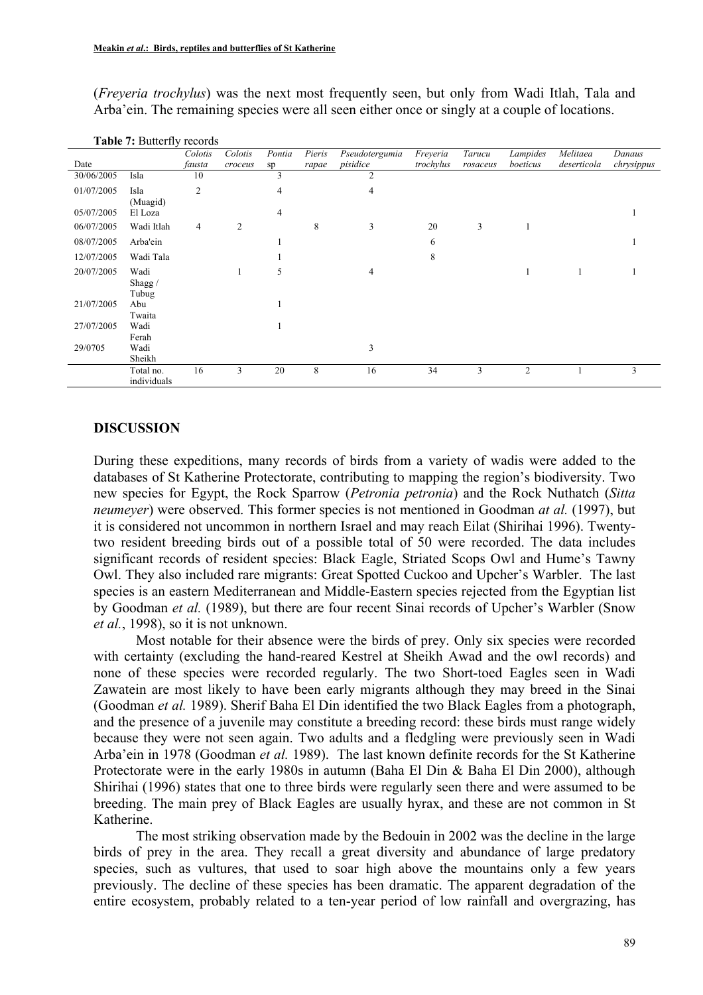(*Freyeria trochylus*) was the next most frequently seen, but only from Wadi Itlah, Tala and Arba'ein. The remaining species were all seen either once or singly at a couple of locations.

|            |             | Colotis        | Colotis | Pontia | Pieris | Pseudotergumia | Freyeria  | Tarucu   | Lampides       | Melitaea    | Danaus     |
|------------|-------------|----------------|---------|--------|--------|----------------|-----------|----------|----------------|-------------|------------|
| Date       |             | fausta         | croceus | sp     | rapae  | pisidice       | trochylus | rosaceus | boeticus       | deserticola | chrysippus |
| 30/06/2005 | Isla        | 10             |         | 3      |        | $\overline{2}$ |           |          |                |             |            |
| 01/07/2005 | Isla        | $\overline{2}$ |         | 4      |        | $\overline{4}$ |           |          |                |             |            |
|            | (Muagid)    |                |         |        |        |                |           |          |                |             |            |
| 05/07/2005 | El Loza     |                |         | 4      |        |                |           |          |                |             |            |
| 06/07/2005 | Wadi Itlah  | 4              | 2       |        | 8      | 3              | 20        | 3        |                |             |            |
| 08/07/2005 | Arba'ein    |                |         |        |        |                | 6         |          |                |             |            |
| 12/07/2005 | Wadi Tala   |                |         |        |        |                | 8         |          |                |             |            |
| 20/07/2005 | Wadi        |                |         | 5      |        | 4              |           |          |                |             |            |
|            | Shagg/      |                |         |        |        |                |           |          |                |             |            |
|            | Tubug       |                |         |        |        |                |           |          |                |             |            |
| 21/07/2005 | Abu         |                |         |        |        |                |           |          |                |             |            |
|            | Twaita      |                |         |        |        |                |           |          |                |             |            |
| 27/07/2005 | Wadi        |                |         |        |        |                |           |          |                |             |            |
|            | Ferah       |                |         |        |        |                |           |          |                |             |            |
| 29/0705    | Wadi        |                |         |        |        | 3              |           |          |                |             |            |
|            | Sheikh      |                |         |        |        |                |           |          |                |             |            |
|            | Total no.   | 16             | 3       | 20     | 8      | 16             | 34        | 3        | $\overline{2}$ |             | 3          |
|            | individuals |                |         |        |        |                |           |          |                |             |            |

**Table 7:** Butterfly records

#### **DISCUSSION**

During these expeditions, many records of birds from a variety of wadis were added to the databases of St Katherine Protectorate, contributing to mapping the region's biodiversity. Two new species for Egypt, the Rock Sparrow (*Petronia petronia*) and the Rock Nuthatch (*Sitta neumeyer*) were observed. This former species is not mentioned in Goodman *at al.* (1997), but it is considered not uncommon in northern Israel and may reach Eilat (Shirihai 1996). Twentytwo resident breeding birds out of a possible total of 50 were recorded. The data includes significant records of resident species: Black Eagle, Striated Scops Owl and Hume's Tawny Owl. They also included rare migrants: Great Spotted Cuckoo and Upcher's Warbler. The last species is an eastern Mediterranean and Middle-Eastern species rejected from the Egyptian list by Goodman *et al.* (1989), but there are four recent Sinai records of Upcher's Warbler (Snow *et al.*, 1998), so it is not unknown.

Most notable for their absence were the birds of prey. Only six species were recorded with certainty (excluding the hand-reared Kestrel at Sheikh Awad and the owl records) and none of these species were recorded regularly. The two Short-toed Eagles seen in Wadi Zawatein are most likely to have been early migrants although they may breed in the Sinai (Goodman *et al.* 1989). Sherif Baha El Din identified the two Black Eagles from a photograph, and the presence of a juvenile may constitute a breeding record: these birds must range widely because they were not seen again. Two adults and a fledgling were previously seen in Wadi Arba'ein in 1978 (Goodman *et al.* 1989). The last known definite records for the St Katherine Protectorate were in the early 1980s in autumn (Baha El Din & Baha El Din 2000), although Shirihai (1996) states that one to three birds were regularly seen there and were assumed to be breeding. The main prey of Black Eagles are usually hyrax, and these are not common in St Katherine.

The most striking observation made by the Bedouin in 2002 was the decline in the large birds of prey in the area. They recall a great diversity and abundance of large predatory species, such as vultures, that used to soar high above the mountains only a few years previously. The decline of these species has been dramatic. The apparent degradation of the entire ecosystem, probably related to a ten-year period of low rainfall and overgrazing, has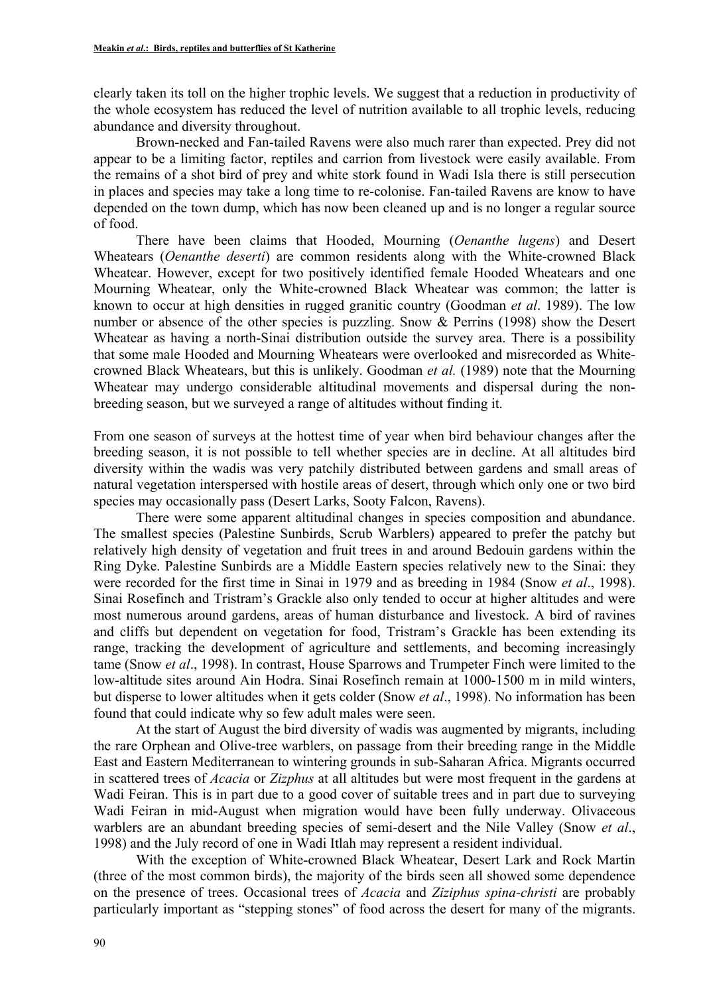clearly taken its toll on the higher trophic levels. We suggest that a reduction in productivity of the whole ecosystem has reduced the level of nutrition available to all trophic levels, reducing abundance and diversity throughout.

Brown-necked and Fan-tailed Ravens were also much rarer than expected. Prey did not appear to be a limiting factor, reptiles and carrion from livestock were easily available. From the remains of a shot bird of prey and white stork found in Wadi Isla there is still persecution in places and species may take a long time to re-colonise. Fan-tailed Ravens are know to have depended on the town dump, which has now been cleaned up and is no longer a regular source of food.

There have been claims that Hooded, Mourning (*Oenanthe lugens*) and Desert Wheatears (*Oenanthe deserti*) are common residents along with the White-crowned Black Wheatear. However, except for two positively identified female Hooded Wheatears and one Mourning Wheatear, only the White-crowned Black Wheatear was common; the latter is known to occur at high densities in rugged granitic country (Goodman *et al*. 1989). The low number or absence of the other species is puzzling. Snow & Perrins (1998) show the Desert Wheatear as having a north-Sinai distribution outside the survey area. There is a possibility that some male Hooded and Mourning Wheatears were overlooked and misrecorded as Whitecrowned Black Wheatears, but this is unlikely. Goodman *et al.* (1989) note that the Mourning Wheatear may undergo considerable altitudinal movements and dispersal during the nonbreeding season, but we surveyed a range of altitudes without finding it.

From one season of surveys at the hottest time of year when bird behaviour changes after the breeding season, it is not possible to tell whether species are in decline. At all altitudes bird diversity within the wadis was very patchily distributed between gardens and small areas of natural vegetation interspersed with hostile areas of desert, through which only one or two bird species may occasionally pass (Desert Larks, Sooty Falcon, Ravens).

There were some apparent altitudinal changes in species composition and abundance. The smallest species (Palestine Sunbirds, Scrub Warblers) appeared to prefer the patchy but relatively high density of vegetation and fruit trees in and around Bedouin gardens within the Ring Dyke. Palestine Sunbirds are a Middle Eastern species relatively new to the Sinai: they were recorded for the first time in Sinai in 1979 and as breeding in 1984 (Snow *et al*., 1998). Sinai Rosefinch and Tristram's Grackle also only tended to occur at higher altitudes and were most numerous around gardens, areas of human disturbance and livestock. A bird of ravines and cliffs but dependent on vegetation for food, Tristram's Grackle has been extending its range, tracking the development of agriculture and settlements, and becoming increasingly tame (Snow *et al*., 1998). In contrast, House Sparrows and Trumpeter Finch were limited to the low-altitude sites around Ain Hodra. Sinai Rosefinch remain at 1000-1500 m in mild winters, but disperse to lower altitudes when it gets colder (Snow *et al*., 1998). No information has been found that could indicate why so few adult males were seen.

At the start of August the bird diversity of wadis was augmented by migrants, including the rare Orphean and Olive-tree warblers, on passage from their breeding range in the Middle East and Eastern Mediterranean to wintering grounds in sub-Saharan Africa. Migrants occurred in scattered trees of *Acacia* or *Zizphus* at all altitudes but were most frequent in the gardens at Wadi Feiran. This is in part due to a good cover of suitable trees and in part due to surveying Wadi Feiran in mid-August when migration would have been fully underway. Olivaceous warblers are an abundant breeding species of semi-desert and the Nile Valley (Snow *et al*., 1998) and the July record of one in Wadi Itlah may represent a resident individual.

With the exception of White-crowned Black Wheatear, Desert Lark and Rock Martin (three of the most common birds), the majority of the birds seen all showed some dependence on the presence of trees. Occasional trees of *Acacia* and *Ziziphus spina-christi* are probably particularly important as "stepping stones" of food across the desert for many of the migrants.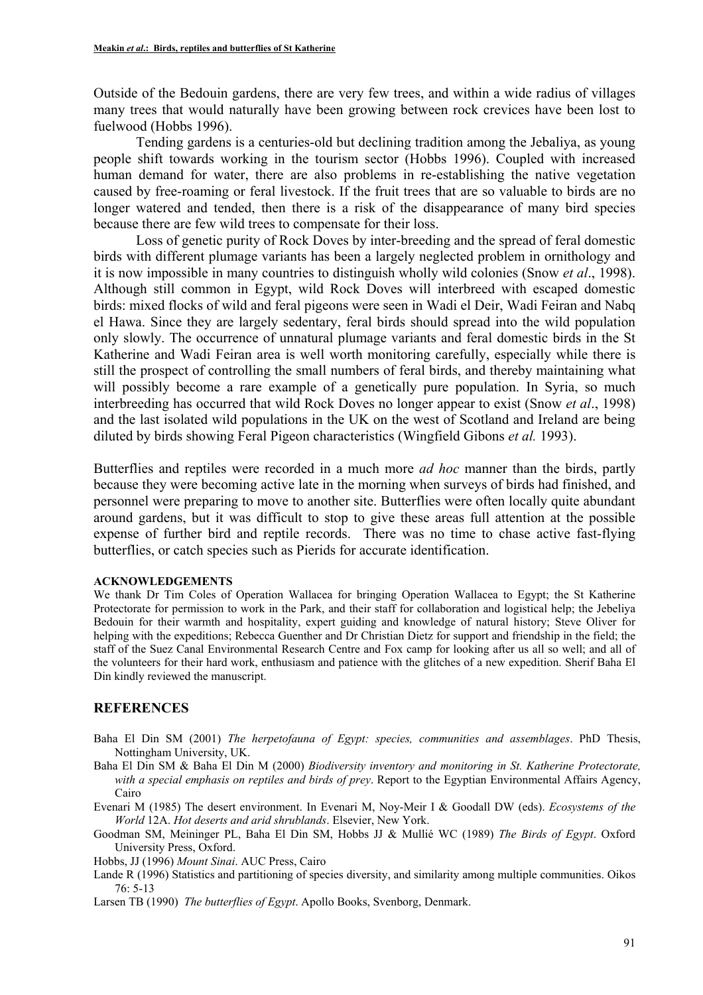Outside of the Bedouin gardens, there are very few trees, and within a wide radius of villages many trees that would naturally have been growing between rock crevices have been lost to fuelwood (Hobbs 1996).

Tending gardens is a centuries-old but declining tradition among the Jebaliya, as young people shift towards working in the tourism sector (Hobbs 1996). Coupled with increased human demand for water, there are also problems in re-establishing the native vegetation caused by free-roaming or feral livestock. If the fruit trees that are so valuable to birds are no longer watered and tended, then there is a risk of the disappearance of many bird species because there are few wild trees to compensate for their loss.

Loss of genetic purity of Rock Doves by inter-breeding and the spread of feral domestic birds with different plumage variants has been a largely neglected problem in ornithology and it is now impossible in many countries to distinguish wholly wild colonies (Snow *et al*., 1998). Although still common in Egypt, wild Rock Doves will interbreed with escaped domestic birds: mixed flocks of wild and feral pigeons were seen in Wadi el Deir, Wadi Feiran and Nabq el Hawa. Since they are largely sedentary, feral birds should spread into the wild population only slowly. The occurrence of unnatural plumage variants and feral domestic birds in the St Katherine and Wadi Feiran area is well worth monitoring carefully, especially while there is still the prospect of controlling the small numbers of feral birds, and thereby maintaining what will possibly become a rare example of a genetically pure population. In Syria, so much interbreeding has occurred that wild Rock Doves no longer appear to exist (Snow *et al*., 1998) and the last isolated wild populations in the UK on the west of Scotland and Ireland are being diluted by birds showing Feral Pigeon characteristics (Wingfield Gibons *et al.* 1993).

Butterflies and reptiles were recorded in a much more *ad hoc* manner than the birds, partly because they were becoming active late in the morning when surveys of birds had finished, and personnel were preparing to move to another site. Butterflies were often locally quite abundant around gardens, but it was difficult to stop to give these areas full attention at the possible expense of further bird and reptile records. There was no time to chase active fast-flying butterflies, or catch species such as Pierids for accurate identification.

#### **ACKNOWLEDGEMENTS**

We thank Dr Tim Coles of Operation Wallacea for bringing Operation Wallacea to Egypt; the St Katherine Protectorate for permission to work in the Park, and their staff for collaboration and logistical help; the Jebeliya Bedouin for their warmth and hospitality, expert guiding and knowledge of natural history; Steve Oliver for helping with the expeditions; Rebecca Guenther and Dr Christian Dietz for support and friendship in the field; the staff of the Suez Canal Environmental Research Centre and Fox camp for looking after us all so well; and all of the volunteers for their hard work, enthusiasm and patience with the glitches of a new expedition. Sherif Baha El Din kindly reviewed the manuscript.

### **REFERENCES**

- Baha El Din SM (2001) *The herpetofauna of Egypt: species, communities and assemblages*. PhD Thesis, Nottingham University, UK.
- Baha El Din SM & Baha El Din M (2000) *Biodiversity inventory and monitoring in St. Katherine Protectorate, with a special emphasis on reptiles and birds of prey*. Report to the Egyptian Environmental Affairs Agency, Cairo
- Evenari M (1985) The desert environment. In Evenari M, Noy-Meir I & Goodall DW (eds). *Ecosystems of the World* 12A. *Hot deserts and arid shrublands*. Elsevier, New York.
- Goodman SM, Meininger PL, Baha El Din SM, Hobbs JJ & Mullié WC (1989) *The Birds of Egypt*. Oxford University Press, Oxford.
- Hobbs, JJ (1996) *Mount Sinai*. AUC Press, Cairo
- Lande R (1996) Statistics and partitioning of species diversity, and similarity among multiple communities. Oikos 76: 5-13
- Larsen TB (1990) *The butterflies of Egypt*. Apollo Books, Svenborg, Denmark.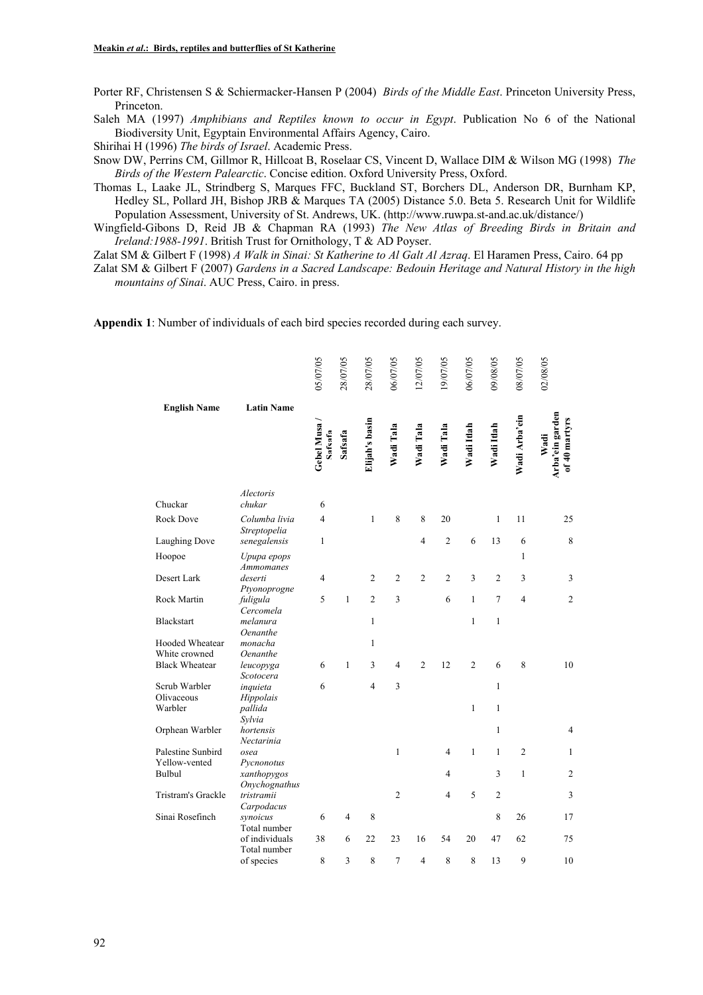Porter RF, Christensen S & Schiermacker-Hansen P (2004) *Birds of the Middle East*. Princeton University Press, Princeton.

Saleh MA (1997) *Amphibians and Reptiles known to occur in Egypt*. Publication No 6 of the National Biodiversity Unit, Egyptain Environmental Affairs Agency, Cairo.

Shirihai H (1996) *The birds of Israel*. Academic Press.

Snow DW, Perrins CM, Gillmor R, Hillcoat B, Roselaar CS, Vincent D, Wallace DIM & Wilson MG (1998) *The Birds of the Western Palearctic*. Concise edition. Oxford University Press, Oxford.

Thomas L, Laake JL, Strindberg S, Marques FFC, Buckland ST, Borchers DL, Anderson DR, Burnham KP, Hedley SL, Pollard JH, Bishop JRB & Marques TA (2005) Distance 5.0. Beta 5. Research Unit for Wildlife Population Assessment, University of St. Andrews, UK. (http://www.ruwpa.st-and.ac.uk/distance/)

Wingfield-Gibons D, Reid JB & Chapman RA (1993) *The New Atlas of Breeding Birds in Britain and Ireland:1988-1991*. British Trust for Ornithology, T & AD Poyser.

Zalat SM & Gilbert F (1998) *A Walk in Sinai: St Katherine to Al Galt Al Azraq*. El Haramen Press, Cairo. 64 pp

Zalat SM & Gilbert F (2007) *Gardens in a Sacred Landscape: Bedouin Heritage and Natural History in the high mountains of Sinai*. AUC Press, Cairo. in press.

**Appendix 1**: Number of individuals of each bird species recorded during each survey.

|                       |                                                | 05/07/05              | 28/07/05 | 28/07/05       | 06/07/05       | 12/07/05                | 19/07/05       | 06/07/05       | 09/08/05       | 08/07/05       | 02/08/05                                 |
|-----------------------|------------------------------------------------|-----------------------|----------|----------------|----------------|-------------------------|----------------|----------------|----------------|----------------|------------------------------------------|
| <b>English Name</b>   | <b>Latin Name</b>                              | Gebel Musa<br>Safsafa | Safsafa  | Elijah's basin | Wadi Tala      | Wadi Tala               | Wadi Tala      | Wadi Itlah     | Wadi Itlah     | Wadi Arba'ein  | Arba'ein garden<br>of 40 martyrs<br>Wadi |
| Chuckar               | Alectoris<br>chukar                            | 6                     |          |                |                |                         |                |                |                |                |                                          |
| Rock Dove             | Columba livia<br>Streptopelia                  | 4                     |          | $\mathbf{1}$   | 8              | 8                       | 20             |                | $\mathbf{1}$   | 11             | 25                                       |
| Laughing Dove         | senegalensis                                   | 1                     |          |                |                | $\overline{\mathbf{4}}$ | $\overline{2}$ | 6              | 13             | 6              | 8                                        |
| Hoopoe                | Upupa epops<br><b>Ammomanes</b>                |                       |          |                |                |                         |                |                |                | 1              |                                          |
| Desert Lark           | deserti<br>Ptyonoprogne                        | 4                     |          | 2              | $\mathfrak{2}$ | $\overline{2}$          | $\overline{2}$ | 3              | $\overline{2}$ | 3              | 3                                        |
| Rock Martin           | fuligula<br>Cercomela                          | 5                     | 1        | $\overline{c}$ | 3              |                         | 6              | $\mathbf{1}$   | 7              | 4              | $\overline{c}$                           |
| Blackstart            | melanura<br>Oenanthe                           |                       |          | $\mathbf{1}$   |                |                         |                | 1              | $\mathbf{1}$   |                |                                          |
| Hooded Wheatear       | monacha                                        |                       |          | $\mathbf{1}$   |                |                         |                |                |                |                |                                          |
| White crowned         | Oenanthe                                       |                       |          |                |                |                         |                |                |                |                |                                          |
| <b>Black Wheatear</b> | leucopyga<br>Scotocera                         | 6                     | 1        | 3              | 4              | $\overline{2}$          | 12             | $\overline{c}$ | 6              | 8              | 10                                       |
| Scrub Warbler         | inquieta                                       | 6                     |          | 4              | 3              |                         |                |                | $\mathbf{1}$   |                |                                          |
| Olivaceous<br>Warbler | Hippolais<br>pallida                           |                       |          |                |                |                         |                | $\mathbf{1}$   | $\mathbf{1}$   |                |                                          |
| Orphean Warbler       | Sylvia<br>hortensis                            |                       |          |                |                |                         |                |                | $\mathbf{1}$   |                | $\overline{4}$                           |
| Palestine Sunbird     | Nectarinia<br>osea                             |                       |          |                | $\mathbf{1}$   |                         | 4              | $\mathbf{1}$   | $\mathbf{1}$   | $\overline{c}$ | $\mathbf{1}$                             |
| Yellow-vented         | Pycnonotus                                     |                       |          |                |                |                         |                |                |                |                |                                          |
| Bulbul                | xanthopygos<br>Onychognathus                   |                       |          |                |                |                         | 4              |                | 3              | 1              | 2                                        |
| Tristram's Grackle    | tristramii<br>Carpodacus                       |                       |          |                | $\overline{2}$ |                         | $\overline{4}$ | 5              | $\overline{2}$ |                | 3                                        |
| Sinai Rosefinch       | synoicus                                       | 6                     | 4        | 8              |                |                         |                |                | 8              | 26             | 17                                       |
|                       | Total number<br>of individuals<br>Total number | 38                    | 6        | 22             | 23             | 16                      | 54             | 20             | 47             | 62             | 75                                       |
|                       | of species                                     | 8                     | 3        | 8              | $\tau$         | $\overline{4}$          | 8              | 8              | 13             | 9              | 10                                       |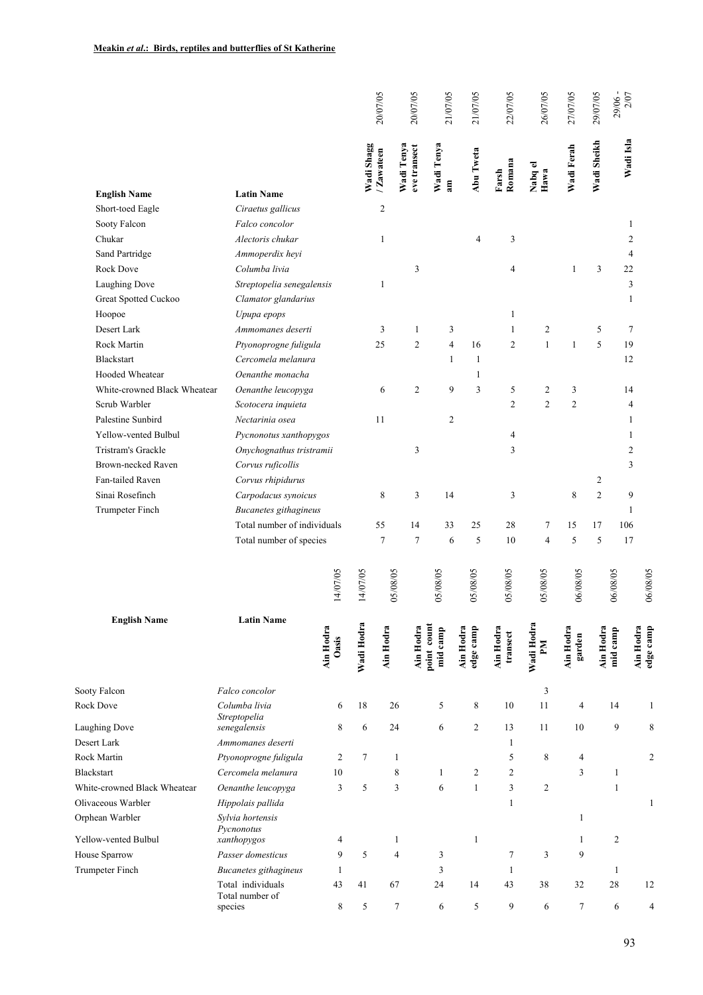|                                         |                                        |                    |            | 20/07/05       | 20/07/05                   | 21/07/05                | 21/07/05               | 22/07/05              | 26/07/05                  | 27/07/05            | 29/07/05       | 29/06-<br>$2/07$      |              |
|-----------------------------------------|----------------------------------------|--------------------|------------|----------------|----------------------------|-------------------------|------------------------|-----------------------|---------------------------|---------------------|----------------|-----------------------|--------------|
|                                         |                                        |                    | Wadi Shagg | / Zawateen     | Wadi Tenya<br>eve transect | Wadi Tenya<br>am        | Abu Tweta              | Romana<br>Farsh       | Nabq el<br>Hawa           | Wadi Ferah          | Wadi Sheikh    | Wadi Isla             |              |
| <b>English Name</b><br>Short-toed Eagle | <b>Latin Name</b><br>Ciraetus gallicus |                    |            | $\overline{2}$ |                            |                         |                        |                       |                           |                     |                |                       |              |
| Sooty Falcon                            | Falco concolor                         |                    |            |                |                            |                         |                        |                       |                           |                     |                | $\mathbf{1}$          |              |
| Chukar                                  | Alectoris chukar                       |                    |            | $\mathbf{1}$   |                            |                         | 4                      | 3                     |                           |                     |                | $\overline{2}$        |              |
| Sand Partridge                          | Ammoperdix heyi                        |                    |            |                |                            |                         |                        |                       |                           |                     |                | 4                     |              |
| Rock Dove                               | Columba livia                          |                    |            |                | 3                          |                         |                        | 4                     |                           | 1                   | 3              | 22                    |              |
| Laughing Dove                           | Streptopelia senegalensis              |                    |            | 1              |                            |                         |                        |                       |                           |                     |                | 3                     |              |
| Great Spotted Cuckoo                    | Clamator glandarius                    |                    |            |                |                            |                         |                        |                       |                           |                     |                | 1                     |              |
| Hoopoe                                  | Upupa epops                            |                    |            |                |                            |                         |                        | 1                     |                           |                     |                |                       |              |
| Desert Lark                             | Ammomanes deserti                      |                    |            | 3              | $\mathbf{1}$               | 3                       |                        | $\mathbf{1}$          | $\overline{2}$            |                     | 5              | $\tau$                |              |
| Rock Martin                             | Ptyonoprogne fuligula                  |                    |            | 25             | $\overline{c}$             | $\overline{4}$          | 16                     | $\overline{2}$        | $\mathbf{1}$              | $\mathbf{1}$        | 5              | 19                    |              |
| Blackstart                              | Cercomela melanura                     |                    |            |                |                            | $\mathbf{1}$            | 1                      |                       |                           |                     |                | 12                    |              |
| Hooded Wheatear                         | Oenanthe monacha                       |                    |            |                |                            |                         | 1                      |                       |                           |                     |                |                       |              |
| White-crowned Black Wheatear            | Oenanthe leucopyga                     |                    |            | 6              | 2                          | 9                       | 3                      | 5                     | $\overline{2}$            | 3                   |                | 14                    |              |
| Scrub Warbler                           | Scotocera inquieta                     |                    |            |                |                            |                         |                        | $\overline{2}$        | $\overline{2}$            | $\overline{c}$      |                | 4                     |              |
| Palestine Sunbird                       | Nectarinia osea                        |                    |            | 11             |                            | $\overline{c}$          |                        |                       |                           |                     |                | 1                     |              |
| Yellow-vented Bulbul                    | Pycnonotus xanthopygos                 |                    |            |                |                            |                         |                        | 4                     |                           |                     |                | 1                     |              |
| Tristram's Grackle                      | Onychognathus tristramii               |                    |            |                | 3                          |                         |                        | 3                     |                           |                     |                | $\overline{2}$        |              |
| Brown-necked Raven                      | Corvus ruficollis                      |                    |            |                |                            |                         |                        |                       |                           |                     |                | 3                     |              |
| Fan-tailed Raven                        | Corvus rhipidurus                      |                    |            |                |                            |                         |                        |                       |                           |                     | 2              |                       |              |
| Sinai Rosefinch                         | Carpodacus synoicus                    |                    |            | 8              | 3                          | 14                      |                        | 3                     |                           | $\,$ 8 $\,$         | $\overline{2}$ | 9                     |              |
| Trumpeter Finch                         | Bucanetes githagineus                  |                    |            |                |                            |                         |                        |                       |                           |                     |                | 1                     |              |
|                                         | Total number of individuals            |                    |            | 55             | 14                         | 33                      | 25                     | 28                    | 7                         | 15                  | 17             | 106                   |              |
|                                         | Total number of species                |                    |            | $\tau$         | $\tau$                     | 6                       | 5                      | 10                    | $\overline{4}$            | $\sqrt{5}$          | 5              | 17                    |              |
|                                         |                                        | 14/07/05           | 14/07/05   | 05/08/05       |                            | 05/08/05                | 05/08/05               | 05/08/05              | 05/08/05                  | 06/08/05            |                | 06/08/05              | 06/08/05     |
| <b>English Name</b>                     | <b>Latin Name</b>                      | Ain Hodra<br>Oasis | Wadi Hodra | Ain Hodra      | Ain Hodra                  | point count<br>mid camp | Ain Hodra<br>edge camp | Ain Hodra<br>transect | Wadi Hodra<br>$M_{\rm H}$ | Ain Hodra<br>garden | Ain Hodra      | Ain Hodra<br>mid camp | edge camp    |
| Sooty Falcon                            | Falco concolor                         |                    |            |                |                            |                         |                        |                       | 3                         |                     |                |                       |              |
| Rock Dove                               | Columba livia                          | 6                  | 18         | 26             |                            | 5                       | 8                      | 10                    | 11                        | $\overline{4}$      |                | 14                    | 1            |
| <b>Laughing Dove</b>                    | Streptopelia                           | 8                  | 6          | 24             |                            | 6                       | $\overline{c}$         | 13                    | 11                        | 10                  |                | 9                     | 8            |
| Desert Lark                             | senegalensis<br>Ammomanes deserti      |                    |            |                |                            |                         |                        | $\mathbf{1}$          |                           |                     |                |                       |              |
| Rock Martin                             | Ptyonoprogne fuligula                  | $\overline{c}$     | 7          | $\mathbf{1}$   |                            |                         |                        | 5                     | $\,$ 8 $\,$               | 4                   |                |                       | 2            |
| <b>Blackstart</b>                       | Cercomela melanura                     | 10                 |            | 8              |                            | 1                       | 2                      | $\overline{c}$        |                           | 3                   |                | $\mathbf{1}$          |              |
| White-crowned Black Wheatear            | Oenanthe leucopyga                     | 3                  | 5          | 3              |                            | 6                       | $\mathbf{1}$           | 3                     | $\overline{c}$            |                     |                | $\mathbf{1}$          |              |
| Olivaceous Warbler                      | Hippolais pallida                      |                    |            |                |                            |                         |                        | 1                     |                           |                     |                |                       | $\mathbf{1}$ |
| Orphean Warbler                         | Sylvia hortensis                       |                    |            |                |                            |                         |                        |                       |                           | $\mathbf{1}$        |                |                       |              |
|                                         | Pycnonotus                             |                    |            |                |                            |                         |                        |                       |                           |                     |                |                       |              |
| Yellow-vented Bulbul                    | xanthopygos                            | 4                  |            | $\mathbf{1}$   |                            |                         | $\mathbf{1}$           |                       |                           | $\mathbf{1}$        |                | 2                     |              |
| House Sparrow                           | Passer domesticus                      | 9                  | 5          | $\overline{4}$ |                            | 3                       |                        | $\tau$                | 3                         | 9                   |                |                       |              |
| Trumpeter Finch                         | Bucanetes githagineus                  | $\mathbf{1}$       |            |                |                            | 3                       |                        | $\mathbf{1}$          |                           |                     |                | $\mathbf{1}$          |              |
|                                         | Total individuals<br>Total number of   | 43                 | 41         | 67             |                            | 24                      | 14                     | 43                    | 38                        | 32                  |                | 28                    | 12           |
|                                         | species                                | 8                  | 5          | $\tau$         |                            | 6                       | 5                      | 9                     | 6                         | $\tau$              |                | 6                     | 4            |
|                                         |                                        |                    |            |                |                            |                         |                        |                       |                           |                     |                | 93                    |              |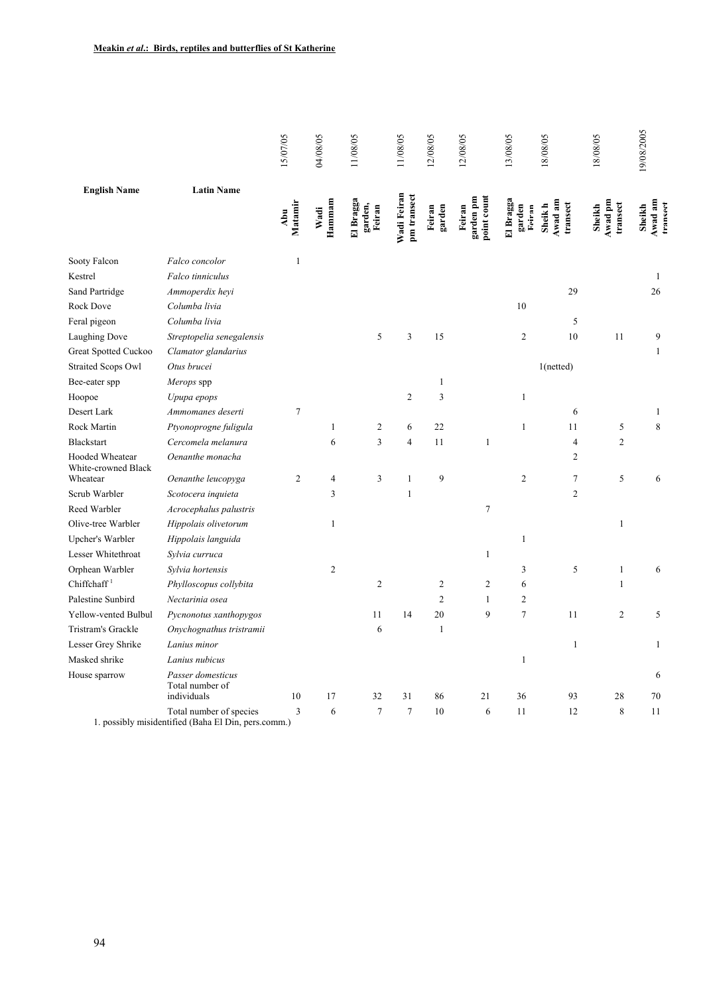| <b>English Name</b><br>Sooty Falcon<br>Falco concolor<br>Kestrel<br>Falco tinniculus<br>Sand Partridge<br>Rock Dove<br>Columba livia<br>Feral pigeon<br>Columba livia<br>Laughing Dove | <b>Latin Name</b><br>Ammoperdix heyi | Matamir<br>Abu<br>$\mathbf{1}$ | Hammam<br>Wadi | El Bragga<br>garden,<br>Feiran | Wadi Feiran<br>pm transect | garden<br>Feiran | point count<br>garden pm<br>Feiran | El Bragga<br>garden<br>Reiran | Awad am<br>transect<br>Sheik h | Awad pm<br>transect<br>Sheikh | Awad am<br>transect<br>Sheikh |
|----------------------------------------------------------------------------------------------------------------------------------------------------------------------------------------|--------------------------------------|--------------------------------|----------------|--------------------------------|----------------------------|------------------|------------------------------------|-------------------------------|--------------------------------|-------------------------------|-------------------------------|
|                                                                                                                                                                                        |                                      |                                |                |                                |                            |                  |                                    |                               |                                |                               |                               |
|                                                                                                                                                                                        |                                      |                                |                |                                |                            |                  |                                    |                               |                                |                               |                               |
|                                                                                                                                                                                        |                                      |                                |                |                                |                            |                  |                                    |                               |                                |                               | 1                             |
|                                                                                                                                                                                        |                                      |                                |                |                                |                            |                  |                                    |                               | 29                             |                               | 26                            |
|                                                                                                                                                                                        |                                      |                                |                |                                |                            |                  |                                    | $10\,$                        |                                |                               |                               |
|                                                                                                                                                                                        |                                      |                                |                |                                |                            |                  |                                    |                               | 5                              |                               |                               |
|                                                                                                                                                                                        | Streptopelia senegalensis            |                                |                | 5                              | 3                          | 15               |                                    | $\boldsymbol{2}$              | 10                             | 11                            | 9                             |
| Great Spotted Cuckoo                                                                                                                                                                   | Clamator glandarius                  |                                |                |                                |                            |                  |                                    |                               |                                |                               | $\mathbf{1}$                  |
| <b>Straited Scops Owl</b><br>Otus brucei                                                                                                                                               |                                      |                                |                |                                |                            |                  |                                    |                               | 1(notted)                      |                               |                               |
| Bee-eater spp<br>Merops spp                                                                                                                                                            |                                      |                                |                |                                |                            | $\mathbf{1}$     |                                    |                               |                                |                               |                               |
| Hoopoe<br>Upupa epops                                                                                                                                                                  |                                      |                                |                |                                | $\overline{c}$             | $\sqrt{3}$       |                                    | 1                             |                                |                               |                               |
| Desert Lark                                                                                                                                                                            | Ammomanes deserti                    | 7                              |                |                                |                            |                  |                                    |                               | 6                              |                               | 1                             |
| Rock Martin                                                                                                                                                                            | Ptyonoprogne fuligula                |                                | 1              | $\overline{c}$                 | 6                          | $22\,$           |                                    | 1                             | 11                             | 5                             | 8                             |
| <b>Blackstart</b>                                                                                                                                                                      | Cercomela melanura                   |                                | 6              | 3                              | $\overline{4}$             | 11               | $\mathbf{1}$                       |                               | $\overline{\mathbf{4}}$        | $\overline{c}$                |                               |
| Hooded Wheatear<br>White-crowned Black                                                                                                                                                 | Oenanthe monacha                     |                                |                |                                |                            |                  |                                    |                               | $\overline{c}$                 |                               |                               |
| Wheatear                                                                                                                                                                               | Oenanthe leucopyga                   | $\overline{c}$                 | 4              | 3                              | $\mathbf{1}$               | 9                |                                    | $\overline{c}$                | $\tau$                         | 5                             | 6                             |
| Scrub Warbler                                                                                                                                                                          | Scotocera inquieta                   |                                | 3              |                                | $\mathbf{1}$               |                  |                                    |                               | $\sqrt{2}$                     |                               |                               |
| Reed Warbler                                                                                                                                                                           | Acrocephalus palustris               |                                |                |                                |                            |                  | $\boldsymbol{7}$                   |                               |                                |                               |                               |
| Olive-tree Warbler                                                                                                                                                                     | Hippolais olivetorum                 |                                | $\mathbf{1}$   |                                |                            |                  |                                    |                               |                                | 1                             |                               |
| Upcher's Warbler                                                                                                                                                                       | Hippolais languida                   |                                |                |                                |                            |                  |                                    | $\mathbf{1}$                  |                                |                               |                               |
| Lesser Whitethroat<br>Sylvia curruca                                                                                                                                                   |                                      |                                |                |                                |                            |                  | 1                                  |                               |                                |                               |                               |
| Orphean Warbler<br>Sylvia hortensis                                                                                                                                                    |                                      |                                | $\overline{c}$ |                                |                            |                  |                                    | 3                             | 5                              | 1                             | 6                             |
| Chiffchaff <sup>1</sup>                                                                                                                                                                | Phylloscopus collybita               |                                |                | $\boldsymbol{2}$               |                            | 2                | $\boldsymbol{2}$                   | 6                             |                                | 1                             |                               |
| Palestine Sunbird<br>Nectarinia osea                                                                                                                                                   |                                      |                                |                |                                |                            | $\overline{c}$   | $\mathbf{1}$                       | 2                             |                                |                               |                               |
| Yellow-vented Bulbul                                                                                                                                                                   | Pycnonotus xanthopygos               |                                |                | 11                             | 14                         | $20\,$           | 9                                  | $\tau$                        | 11                             | $\overline{c}$                | 5                             |
| Tristram's Grackle                                                                                                                                                                     | Onychognathus tristramii             |                                |                | 6                              |                            | $\mathbf{1}$     |                                    |                               |                                |                               |                               |
| Lesser Grey Shrike<br>Lanius minor                                                                                                                                                     |                                      |                                |                |                                |                            |                  |                                    |                               | 1                              |                               | $\mathbf{1}$                  |
| Masked shrike<br>Lanius nubicus                                                                                                                                                        |                                      |                                |                |                                |                            |                  |                                    | $\mathbf{1}$                  |                                |                               |                               |
| House sparrow<br>Total number of<br>individuals                                                                                                                                        | Passer domesticus                    | 10                             | 17             |                                | 31                         | 86               |                                    | $36\,$                        | 93                             | 28                            | 6<br>70                       |
|                                                                                                                                                                                        | Total number of species              |                                |                | 32<br>$\overline{7}$           |                            |                  | 21                                 |                               |                                |                               |                               |
| 1. possibly misidentified (Baha El Din, pers.comm.)                                                                                                                                    |                                      | $\mathfrak{Z}$                 | 6              |                                | $\boldsymbol{7}$           | $10\,$           | 6                                  | 11                            | 12                             | 8                             | 11                            |